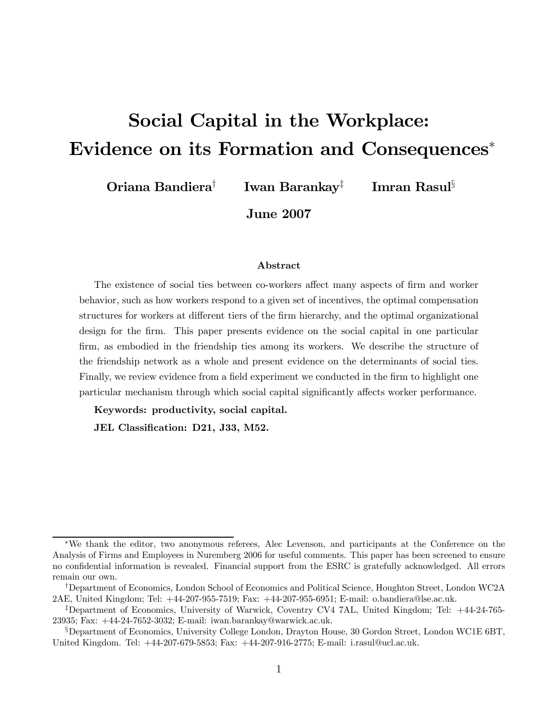# Social Capital in the Workplace: Evidence on its Formation and Consequences<sup>∗</sup>

Oriana Bandiera† Iwan Barankay‡ Imran Rasul§

June 2007

#### Abstract

The existence of social ties between co-workers affect many aspects of firm and worker behavior, such as how workers respond to a given set of incentives, the optimal compensation structures for workers at different tiers of the firm hierarchy, and the optimal organizational design for the firm. This paper presents evidence on the social capital in one particular firm, as embodied in the friendship ties among its workers. We describe the structure of the friendship network as a whole and present evidence on the determinants of social ties. Finally, we review evidence from a field experiment we conducted in the firm to highlight one particular mechanism through which social capital significantly affects worker performance.

Keywords: productivity, social capital.

JEL Classification: D21, J33, M52.

<sup>∗</sup>We thank the editor, two anonymous referees, Alec Levenson, and participants at the Conference on the Analysis of Firms and Employees in Nuremberg 2006 for useful comments. This paper has been screened to ensure no confidential information is revealed. Financial support from the ESRC is gratefully acknowledged. All errors remain our own.

<sup>†</sup>Department of Economics, London School of Economics and Political Science, Houghton Street, London WC2A 2AE, United Kingdom; Tel: +44-207-955-7519; Fax: +44-207-955-6951; E-mail: o.bandiera@lse.ac.uk.

<sup>‡</sup>Department of Economics, University of Warwick, Coventry CV4 7AL, United Kingdom; Tel: +44-24-765- 23935; Fax: +44-24-7652-3032; E-mail: iwan.barankay@warwick.ac.uk.

<sup>§</sup>Department of Economics, University College London, Drayton House, 30 Gordon Street, London WC1E 6BT, United Kingdom. Tel: +44-207-679-5853; Fax: +44-207-916-2775; E-mail: i.rasul@ucl.ac.uk.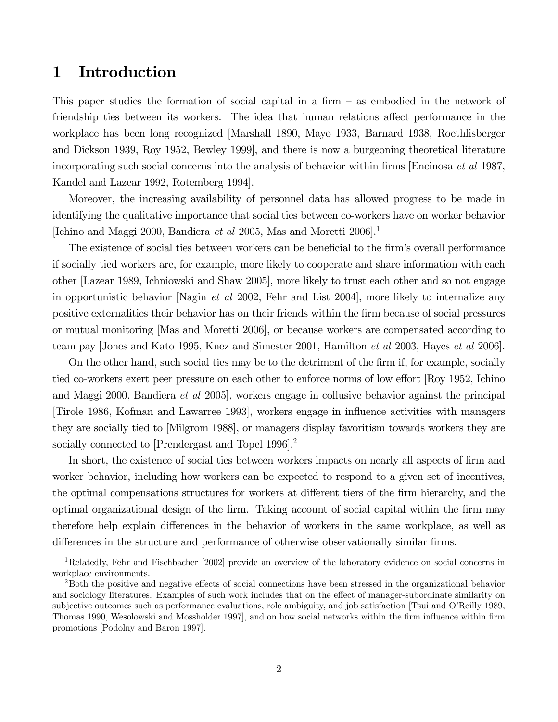# 1 Introduction

This paper studies the formation of social capital in a firm — as embodied in the network of friendship ties between its workers. The idea that human relations affect performance in the workplace has been long recognized [Marshall 1890, Mayo 1933, Barnard 1938, Roethlisberger and Dickson 1939, Roy 1952, Bewley 1999], and there is now a burgeoning theoretical literature incorporating such social concerns into the analysis of behavior within firms [Encinosa et al 1987, Kandel and Lazear 1992, Rotemberg 1994].

Moreover, the increasing availability of personnel data has allowed progress to be made in identifying the qualitative importance that social ties between co-workers have on worker behavior [Ichino and Maggi 2000, Bandiera *et al* 2005, Mas and Moretti 2006].<sup>1</sup>

The existence of social ties between workers can be beneficial to the firm's overall performance if socially tied workers are, for example, more likely to cooperate and share information with each other [Lazear 1989, Ichniowski and Shaw 2005], more likely to trust each other and so not engage in opportunistic behavior [Nagin et al 2002, Fehr and List 2004], more likely to internalize any positive externalities their behavior has on their friends within the firm because of social pressures or mutual monitoring [Mas and Moretti 2006], or because workers are compensated according to team pay [Jones and Kato 1995, Knez and Simester 2001, Hamilton et al 2003, Hayes et al 2006].

On the other hand, such social ties may be to the detriment of the firm if, for example, socially tied co-workers exert peer pressure on each other to enforce norms of low effort [Roy 1952, Ichino and Maggi 2000, Bandiera et al 2005], workers engage in collusive behavior against the principal [Tirole 1986, Kofman and Lawarree 1993], workers engage in influence activities with managers they are socially tied to [Milgrom 1988], or managers display favoritism towards workers they are socially connected to [Prendergast and Topel 1996].<sup>2</sup>

In short, the existence of social ties between workers impacts on nearly all aspects of firm and worker behavior, including how workers can be expected to respond to a given set of incentives, the optimal compensations structures for workers at different tiers of the firm hierarchy, and the optimal organizational design of the firm. Taking account of social capital within the firm may therefore help explain differences in the behavior of workers in the same workplace, as well as differences in the structure and performance of otherwise observationally similar firms.

<sup>1</sup>Relatedly, Fehr and Fischbacher [2002] provide an overview of the laboratory evidence on social concerns in workplace environments.

<sup>2</sup>Both the positive and negative effects of social connections have been stressed in the organizational behavior and sociology literatures. Examples of such work includes that on the effect of manager-subordinate similarity on subjective outcomes such as performance evaluations, role ambiguity, and job satisfaction [Tsui and O'Reilly 1989, Thomas 1990, Wesolowski and Mossholder 1997], and on how social networks within the firm influence within firm promotions [Podolny and Baron 1997].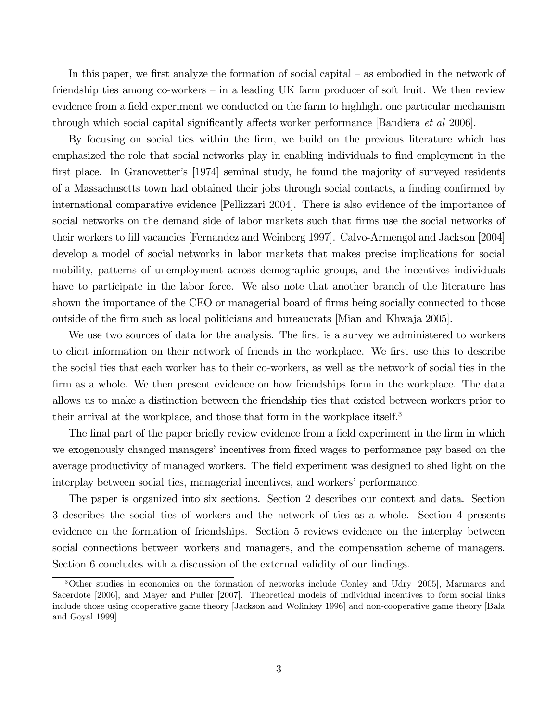In this paper, we first analyze the formation of social capital — as embodied in the network of friendship ties among co-workers — in a leading UK farm producer of soft fruit. We then review evidence from a field experiment we conducted on the farm to highlight one particular mechanism through which social capital significantly affects worker performance [Bandiera et al 2006].

By focusing on social ties within the firm, we build on the previous literature which has emphasized the role that social networks play in enabling individuals to find employment in the first place. In Granovetter's [1974] seminal study, he found the majority of surveyed residents of a Massachusetts town had obtained their jobs through social contacts, a finding confirmed by international comparative evidence [Pellizzari 2004]. There is also evidence of the importance of social networks on the demand side of labor markets such that firms use the social networks of their workers to fill vacancies [Fernandez and Weinberg 1997]. Calvo-Armengol and Jackson [2004] develop a model of social networks in labor markets that makes precise implications for social mobility, patterns of unemployment across demographic groups, and the incentives individuals have to participate in the labor force. We also note that another branch of the literature has shown the importance of the CEO or managerial board of firms being socially connected to those outside of the firm such as local politicians and bureaucrats [Mian and Khwaja 2005].

We use two sources of data for the analysis. The first is a survey we administered to workers to elicit information on their network of friends in the workplace. We first use this to describe the social ties that each worker has to their co-workers, as well as the network of social ties in the firm as a whole. We then present evidence on how friendships form in the workplace. The data allows us to make a distinction between the friendship ties that existed between workers prior to their arrival at the workplace, and those that form in the workplace itself.3

The final part of the paper briefly review evidence from a field experiment in the firm in which we exogenously changed managers' incentives from fixed wages to performance pay based on the average productivity of managed workers. The field experiment was designed to shed light on the interplay between social ties, managerial incentives, and workers' performance.

The paper is organized into six sections. Section 2 describes our context and data. Section 3 describes the social ties of workers and the network of ties as a whole. Section 4 presents evidence on the formation of friendships. Section 5 reviews evidence on the interplay between social connections between workers and managers, and the compensation scheme of managers. Section 6 concludes with a discussion of the external validity of our findings.

<sup>3</sup>Other studies in economics on the formation of networks include Conley and Udry [2005], Marmaros and Sacerdote [2006], and Mayer and Puller [2007]. Theoretical models of individual incentives to form social links include those using cooperative game theory [Jackson and Wolinksy 1996] and non-cooperative game theory [Bala and Goyal 1999].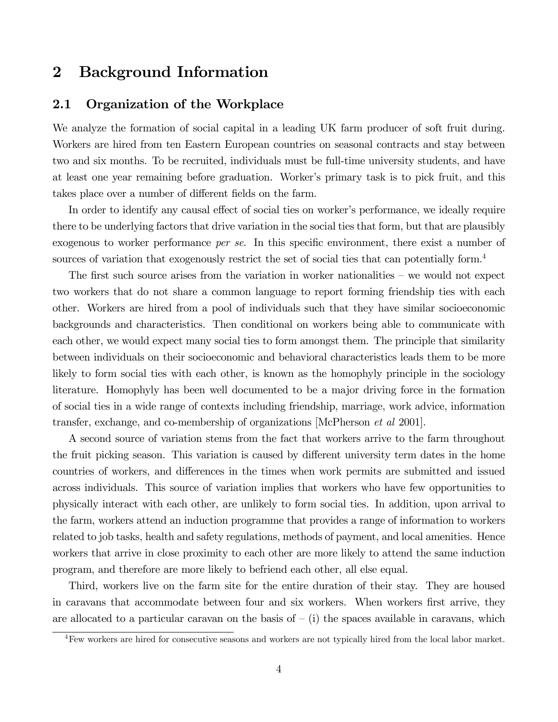# 2 Background Information

# 2.1 Organization of the Workplace

We analyze the formation of social capital in a leading UK farm producer of soft fruit during. Workers are hired from ten Eastern European countries on seasonal contracts and stay between two and six months. To be recruited, individuals must be full-time university students, and have at least one year remaining before graduation. Worker's primary task is to pick fruit, and this takes place over a number of different fields on the farm.

In order to identify any causal effect of social ties on worker's performance, we ideally require there to be underlying factors that drive variation in the social ties that form, but that are plausibly exogenous to worker performance *per se*. In this specific environment, there exist a number of sources of variation that exogenously restrict the set of social ties that can potentially form.<sup>4</sup>

The first such source arises from the variation in worker nationalities — we would not expect two workers that do not share a common language to report forming friendship ties with each other. Workers are hired from a pool of individuals such that they have similar socioeconomic backgrounds and characteristics. Then conditional on workers being able to communicate with each other, we would expect many social ties to form amongst them. The principle that similarity between individuals on their socioeconomic and behavioral characteristics leads them to be more likely to form social ties with each other, is known as the homophyly principle in the sociology literature. Homophyly has been well documented to be a major driving force in the formation of social ties in a wide range of contexts including friendship, marriage, work advice, information transfer, exchange, and co-membership of organizations [McPherson et al 2001].

A second source of variation stems from the fact that workers arrive to the farm throughout the fruit picking season. This variation is caused by different university term dates in the home countries of workers, and differences in the times when work permits are submitted and issued across individuals. This source of variation implies that workers who have few opportunities to physically interact with each other, are unlikely to form social ties. In addition, upon arrival to the farm, workers attend an induction programme that provides a range of information to workers related to job tasks, health and safety regulations, methods of payment, and local amenities. Hence workers that arrive in close proximity to each other are more likely to attend the same induction program, and therefore are more likely to befriend each other, all else equal.

Third, workers live on the farm site for the entire duration of their stay. They are housed in caravans that accommodate between four and six workers. When workers first arrive, they are allocated to a particular caravan on the basis of  $-$  (i) the spaces available in caravans, which

<sup>&</sup>lt;sup>4</sup>Few workers are hired for consecutive seasons and workers are not typically hired from the local labor market.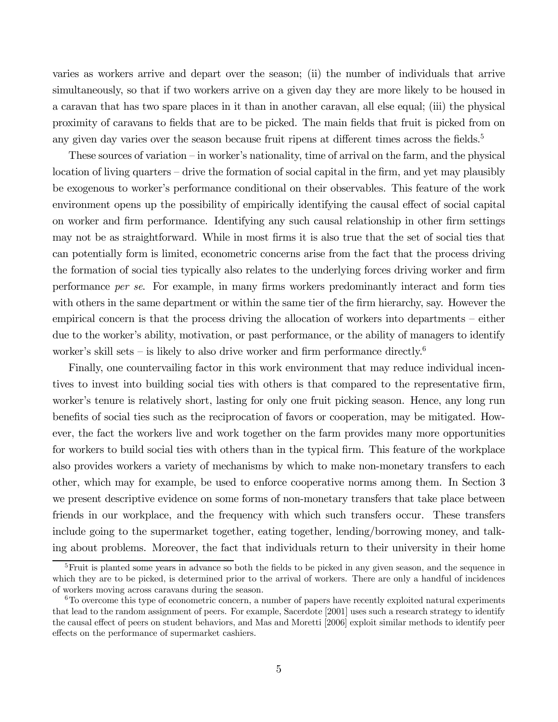varies as workers arrive and depart over the season; (ii) the number of individuals that arrive simultaneously, so that if two workers arrive on a given day they are more likely to be housed in a caravan that has two spare places in it than in another caravan, all else equal; (iii) the physical proximity of caravans to fields that are to be picked. The main fields that fruit is picked from on any given day varies over the season because fruit ripens at different times across the fields. $5$ 

These sources of variation — in worker's nationality, time of arrival on the farm, and the physical location of living quarters — drive the formation of social capital in the firm, and yet may plausibly be exogenous to worker's performance conditional on their observables. This feature of the work environment opens up the possibility of empirically identifying the causal effect of social capital on worker and firm performance. Identifying any such causal relationship in other firm settings may not be as straightforward. While in most firms it is also true that the set of social ties that can potentially form is limited, econometric concerns arise from the fact that the process driving the formation of social ties typically also relates to the underlying forces driving worker and firm performance per se. For example, in many firms workers predominantly interact and form ties with others in the same department or within the same tier of the firm hierarchy, say. However the empirical concern is that the process driving the allocation of workers into departments — either due to the worker's ability, motivation, or past performance, or the ability of managers to identify worker's skill sets – is likely to also drive worker and firm performance directly.<sup>6</sup>

Finally, one countervailing factor in this work environment that may reduce individual incentives to invest into building social ties with others is that compared to the representative firm, worker's tenure is relatively short, lasting for only one fruit picking season. Hence, any long run benefits of social ties such as the reciprocation of favors or cooperation, may be mitigated. However, the fact the workers live and work together on the farm provides many more opportunities for workers to build social ties with others than in the typical firm. This feature of the workplace also provides workers a variety of mechanisms by which to make non-monetary transfers to each other, which may for example, be used to enforce cooperative norms among them. In Section 3 we present descriptive evidence on some forms of non-monetary transfers that take place between friends in our workplace, and the frequency with which such transfers occur. These transfers include going to the supermarket together, eating together, lending/borrowing money, and talking about problems. Moreover, the fact that individuals return to their university in their home

<sup>&</sup>lt;sup>5</sup>Fruit is planted some years in advance so both the fields to be picked in any given season, and the sequence in which they are to be picked, is determined prior to the arrival of workers. There are only a handful of incidences of workers moving across caravans during the season.

<sup>&</sup>lt;sup>6</sup>To overcome this type of econometric concern, a number of papers have recently exploited natural experiments that lead to the random assignment of peers. For example, Sacerdote [2001] uses such a research strategy to identify the causal effect of peers on student behaviors, and Mas and Moretti [2006] exploit similar methods to identify peer effects on the performance of supermarket cashiers.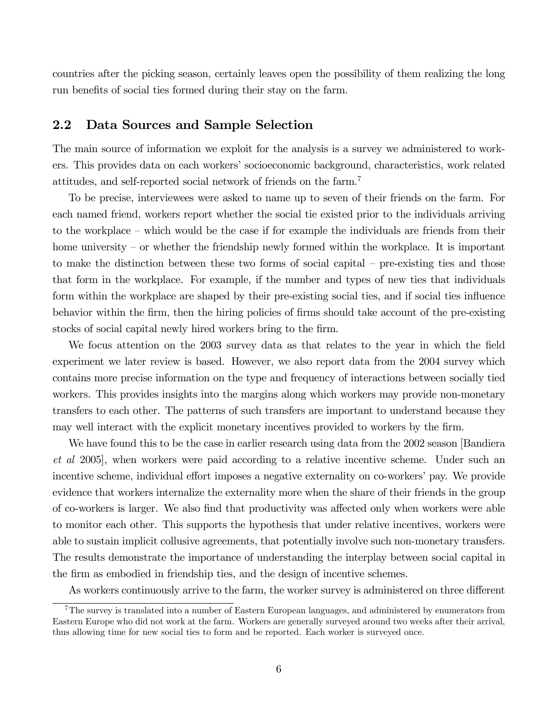countries after the picking season, certainly leaves open the possibility of them realizing the long run benefits of social ties formed during their stay on the farm.

# 2.2 Data Sources and Sample Selection

The main source of information we exploit for the analysis is a survey we administered to workers. This provides data on each workers' socioeconomic background, characteristics, work related attitudes, and self-reported social network of friends on the farm.7

To be precise, interviewees were asked to name up to seven of their friends on the farm. For each named friend, workers report whether the social tie existed prior to the individuals arriving to the workplace — which would be the case if for example the individuals are friends from their home university – or whether the friendship newly formed within the workplace. It is important to make the distinction between these two forms of social capital — pre-existing ties and those that form in the workplace. For example, if the number and types of new ties that individuals form within the workplace are shaped by their pre-existing social ties, and if social ties influence behavior within the firm, then the hiring policies of firms should take account of the pre-existing stocks of social capital newly hired workers bring to the firm.

We focus attention on the 2003 survey data as that relates to the year in which the field experiment we later review is based. However, we also report data from the 2004 survey which contains more precise information on the type and frequency of interactions between socially tied workers. This provides insights into the margins along which workers may provide non-monetary transfers to each other. The patterns of such transfers are important to understand because they may well interact with the explicit monetary incentives provided to workers by the firm.

We have found this to be the case in earlier research using data from the 2002 season [Bandiera] et al 2005], when workers were paid according to a relative incentive scheme. Under such an incentive scheme, individual effort imposes a negative externality on co-workers' pay. We provide evidence that workers internalize the externality more when the share of their friends in the group of co-workers is larger. We also find that productivity was affected only when workers were able to monitor each other. This supports the hypothesis that under relative incentives, workers were able to sustain implicit collusive agreements, that potentially involve such non-monetary transfers. The results demonstrate the importance of understanding the interplay between social capital in the firm as embodied in friendship ties, and the design of incentive schemes.

As workers continuously arrive to the farm, the worker survey is administered on three different

<sup>7</sup>The survey is translated into a number of Eastern European languages, and administered by enumerators from Eastern Europe who did not work at the farm. Workers are generally surveyed around two weeks after their arrival, thus allowing time for new social ties to form and be reported. Each worker is surveyed once.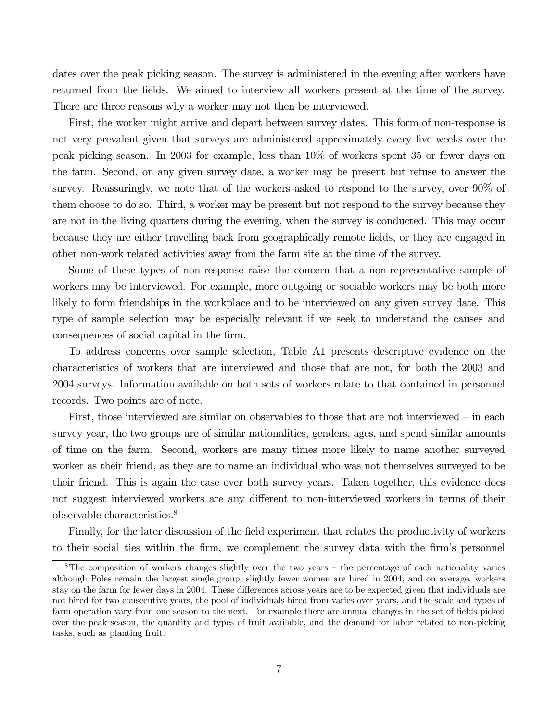dates over the peak picking season. The survey is administered in the evening after workers have returned from the fields. We aimed to interview all workers present at the time of the survey. There are three reasons why a worker may not then be interviewed.

First, the worker might arrive and depart between survey dates. This form of non-response is not very prevalent given that surveys are administered approximately every five weeks over the peak picking season. In 2003 for example, less than 10% of workers spent 35 or fewer days on the farm. Second, on any given survey date, a worker may be present but refuse to answer the survey. Reassuringly, we note that of the workers asked to respond to the survey, over 90% of them choose to do so. Third, a worker may be present but not respond to the survey because they are not in the living quarters during the evening, when the survey is conducted. This may occur because they are either travelling back from geographically remote fields, or they are engaged in other non-work related activities away from the farm site at the time of the survey.

Some of these types of non-response raise the concern that a non-representative sample of workers may be interviewed. For example, more outgoing or sociable workers may be both more likely to form friendships in the workplace and to be interviewed on any given survey date. This type of sample selection may be especially relevant if we seek to understand the causes and consequences of social capital in the firm.

To address concerns over sample selection, Table A1 presents descriptive evidence on the characteristics of workers that are interviewed and those that are not, for both the 2003 and 2004 surveys. Information available on both sets of workers relate to that contained in personnel records. Two points are of note.

First, those interviewed are similar on observables to those that are not interviewed — in each survey year, the two groups are of similar nationalities, genders, ages, and spend similar amounts of time on the farm. Second, workers are many times more likely to name another surveyed worker as their friend, as they are to name an individual who was not themselves surveyed to be their friend. This is again the case over both survey years. Taken together, this evidence does not suggest interviewed workers are any different to non-interviewed workers in terms of their observable characteristics.8

Finally, for the later discussion of the field experiment that relates the productivity of workers to their social ties within the firm, we complement the survey data with the firm's personnel

<sup>&</sup>lt;sup>8</sup>The composition of workers changes slightly over the two years – the percentage of each nationality varies although Poles remain the largest single group, slightly fewer women are hired in 2004, and on average, workers stay on the farm for fewer days in 2004. These differences across years are to be expected given that individuals are not hired for two consecutive years, the pool of individuals hired from varies over years, and the scale and types of farm operation vary from one season to the next. For example there are annual changes in the set of fields picked over the peak season, the quantity and types of fruit available, and the demand for labor related to non-picking tasks, such as planting fruit.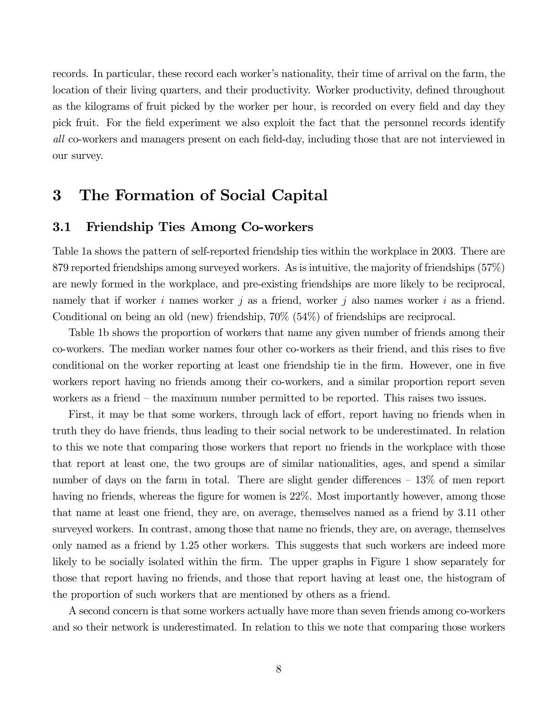records. In particular, these record each worker's nationality, their time of arrival on the farm, the location of their living quarters, and their productivity. Worker productivity, defined throughout as the kilograms of fruit picked by the worker per hour, is recorded on every field and day they pick fruit. For the field experiment we also exploit the fact that the personnel records identify all co-workers and managers present on each field-day, including those that are not interviewed in our survey.

# 3 The Formation of Social Capital

# 3.1 Friendship Ties Among Co-workers

Table 1a shows the pattern of self-reported friendship ties within the workplace in 2003. There are 879 reported friendships among surveyed workers. As is intuitive, the majority of friendships (57%) are newly formed in the workplace, and pre-existing friendships are more likely to be reciprocal, namely that if worker i names worker j as a friend, worker j also names worker i as a friend. Conditional on being an old (new) friendship, 70% (54%) of friendships are reciprocal.

Table 1b shows the proportion of workers that name any given number of friends among their co-workers. The median worker names four other co-workers as their friend, and this rises to five conditional on the worker reporting at least one friendship tie in the firm. However, one in five workers report having no friends among their co-workers, and a similar proportion report seven workers as a friend — the maximum number permitted to be reported. This raises two issues.

First, it may be that some workers, through lack of effort, report having no friends when in truth they do have friends, thus leading to their social network to be underestimated. In relation to this we note that comparing those workers that report no friends in the workplace with those that report at least one, the two groups are of similar nationalities, ages, and spend a similar number of days on the farm in total. There are slight gender differences – 13\% of men report having no friends, whereas the figure for women is 22%. Most importantly however, among those that name at least one friend, they are, on average, themselves named as a friend by 3.11 other surveyed workers. In contrast, among those that name no friends, they are, on average, themselves only named as a friend by 1.25 other workers. This suggests that such workers are indeed more likely to be socially isolated within the firm. The upper graphs in Figure 1 show separately for those that report having no friends, and those that report having at least one, the histogram of the proportion of such workers that are mentioned by others as a friend.

A second concern is that some workers actually have more than seven friends among co-workers and so their network is underestimated. In relation to this we note that comparing those workers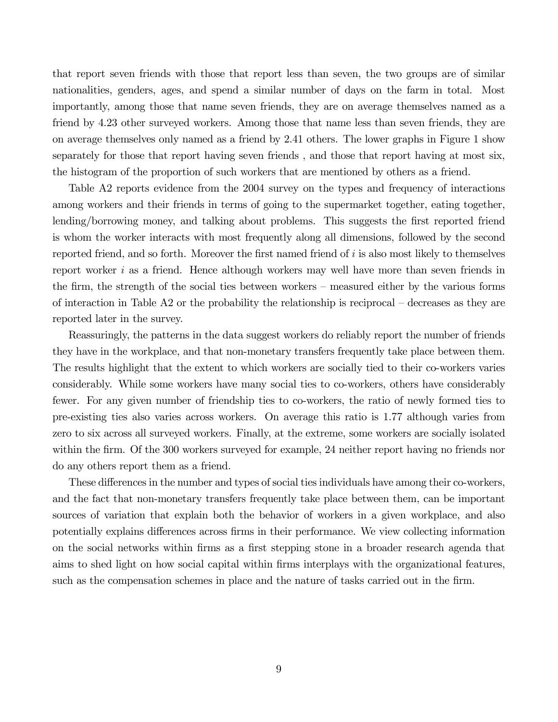that report seven friends with those that report less than seven, the two groups are of similar nationalities, genders, ages, and spend a similar number of days on the farm in total. Most importantly, among those that name seven friends, they are on average themselves named as a friend by 4.23 other surveyed workers. Among those that name less than seven friends, they are on average themselves only named as a friend by 2.41 others. The lower graphs in Figure 1 show separately for those that report having seven friends , and those that report having at most six, the histogram of the proportion of such workers that are mentioned by others as a friend.

Table A2 reports evidence from the 2004 survey on the types and frequency of interactions among workers and their friends in terms of going to the supermarket together, eating together, lending/borrowing money, and talking about problems. This suggests the first reported friend is whom the worker interacts with most frequently along all dimensions, followed by the second reported friend, and so forth. Moreover the first named friend of i is also most likely to themselves report worker  $i$  as a friend. Hence although workers may well have more than seven friends in the firm, the strength of the social ties between workers — measured either by the various forms of interaction in Table A2 or the probability the relationship is reciprocal — decreases as they are reported later in the survey.

Reassuringly, the patterns in the data suggest workers do reliably report the number of friends they have in the workplace, and that non-monetary transfers frequently take place between them. The results highlight that the extent to which workers are socially tied to their co-workers varies considerably. While some workers have many social ties to co-workers, others have considerably fewer. For any given number of friendship ties to co-workers, the ratio of newly formed ties to pre-existing ties also varies across workers. On average this ratio is 1.77 although varies from zero to six across all surveyed workers. Finally, at the extreme, some workers are socially isolated within the firm. Of the 300 workers surveyed for example, 24 neither report having no friends nor do any others report them as a friend.

These differences in the number and types of social ties individuals have among their co-workers, and the fact that non-monetary transfers frequently take place between them, can be important sources of variation that explain both the behavior of workers in a given workplace, and also potentially explains differences across firms in their performance. We view collecting information on the social networks within firms as a first stepping stone in a broader research agenda that aims to shed light on how social capital within firms interplays with the organizational features, such as the compensation schemes in place and the nature of tasks carried out in the firm.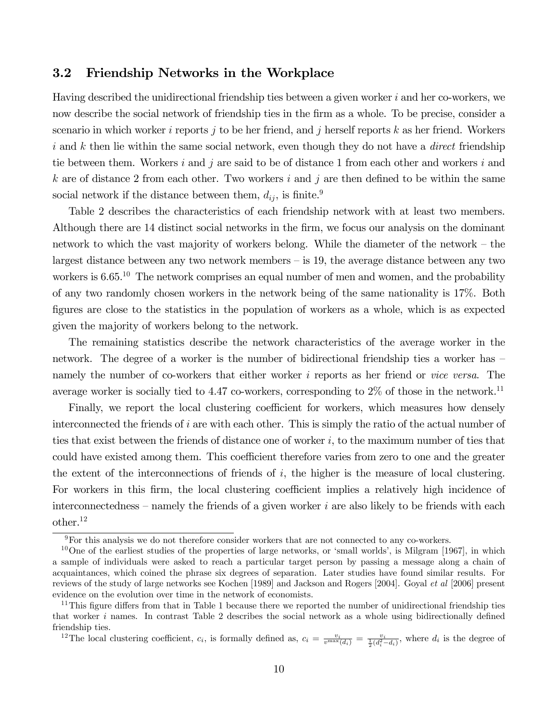### 3.2 Friendship Networks in the Workplace

Having described the unidirectional friendship ties between a given worker i and her co-workers, we now describe the social network of friendship ties in the firm as a whole. To be precise, consider a scenario in which worker i reports j to be her friend, and j herself reports k as her friend. Workers i and k then lie within the same social network, even though they do not have a *direct* friendship tie between them. Workers  $i$  and  $j$  are said to be of distance 1 from each other and workers  $i$  and k are of distance 2 from each other. Two workers i and j are then defined to be within the same social network if the distance between them,  $d_{ij}$ , is finite.<sup>9</sup>

Table 2 describes the characteristics of each friendship network with at least two members. Although there are 14 distinct social networks in the firm, we focus our analysis on the dominant network to which the vast majority of workers belong. While the diameter of the network — the largest distance between any two network members — is 19, the average distance between any two workers is  $6.65<sup>10</sup>$  The network comprises an equal number of men and women, and the probability of any two randomly chosen workers in the network being of the same nationality is 17%. Both figures are close to the statistics in the population of workers as a whole, which is as expected given the majority of workers belong to the network.

The remaining statistics describe the network characteristics of the average worker in the network. The degree of a worker is the number of bidirectional friendship ties a worker has namely the number of co-workers that either worker i reports as her friend or *vice versa*. The average worker is socially tied to 4.47 co-workers, corresponding to  $2\%$  of those in the network.<sup>11</sup>

Finally, we report the local clustering coefficient for workers, which measures how densely interconnected the friends of i are with each other. This is simply the ratio of the actual number of ties that exist between the friends of distance one of worker  $i$ , to the maximum number of ties that could have existed among them. This coefficient therefore varies from zero to one and the greater the extent of the interconnections of friends of  $i$ , the higher is the measure of local clustering. For workers in this firm, the local clustering coefficient implies a relatively high incidence of interconnectedness – namely the friends of a given worker  $i$  are also likely to be friends with each other.12

<sup>12</sup>The local clustering coefficient,  $c_i$ , is formally defined as,  $c_i = \frac{v_i}{v^{\max}(d_i)} = \frac{v_i}{\frac{1}{2}(d_i^2 - d_i)}$ , where  $d_i$  is the degree of

<sup>&</sup>lt;sup>9</sup>For this analysis we do not therefore consider workers that are not connected to any co-workers.

 $10$ One of the earliest studies of the properties of large networks, or 'small worlds', is Milgram [1967], in which a sample of individuals were asked to reach a particular target person by passing a message along a chain of acquaintances, which coined the phrase six degrees of separation. Later studies have found similar results. For reviews of the study of large networks see Kochen [1989] and Jackson and Rogers [2004]. Goyal et al [2006] present evidence on the evolution over time in the network of economists.

 $11$ This figure differs from that in Table 1 because there we reported the number of unidirectional friendship ties that worker i names. In contrast Table 2 describes the social network as a whole using bidirectionally defined friendship ties.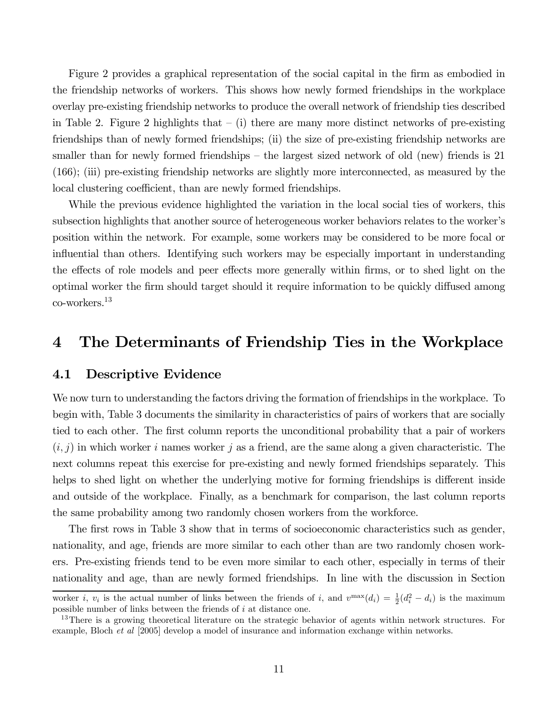Figure 2 provides a graphical representation of the social capital in the firm as embodied in the friendship networks of workers. This shows how newly formed friendships in the workplace overlay pre-existing friendship networks to produce the overall network of friendship ties described in Table 2. Figure 2 highlights that  $-$  (i) there are many more distinct networks of pre-existing friendships than of newly formed friendships; (ii) the size of pre-existing friendship networks are smaller than for newly formed friendships  $-$  the largest sized network of old (new) friends is 21 (166); (iii) pre-existing friendship networks are slightly more interconnected, as measured by the local clustering coefficient, than are newly formed friendships.

While the previous evidence highlighted the variation in the local social ties of workers, this subsection highlights that another source of heterogeneous worker behaviors relates to the worker's position within the network. For example, some workers may be considered to be more focal or influential than others. Identifying such workers may be especially important in understanding the effects of role models and peer effects more generally within firms, or to shed light on the optimal worker the firm should target should it require information to be quickly diffused among co-workers.13

# 4 The Determinants of Friendship Ties in the Workplace

### 4.1 Descriptive Evidence

We now turn to understanding the factors driving the formation of friendships in the workplace. To begin with, Table 3 documents the similarity in characteristics of pairs of workers that are socially tied to each other. The first column reports the unconditional probability that a pair of workers  $(i, j)$  in which worker i names worker j as a friend, are the same along a given characteristic. The next columns repeat this exercise for pre-existing and newly formed friendships separately. This helps to shed light on whether the underlying motive for forming friendships is different inside and outside of the workplace. Finally, as a benchmark for comparison, the last column reports the same probability among two randomly chosen workers from the workforce.

The first rows in Table 3 show that in terms of socioeconomic characteristics such as gender, nationality, and age, friends are more similar to each other than are two randomly chosen workers. Pre-existing friends tend to be even more similar to each other, especially in terms of their nationality and age, than are newly formed friendships. In line with the discussion in Section

worker i,  $v_i$  is the actual number of links between the friends of i, and  $v^{\max}(d_i) = \frac{1}{2}(d_i^2 - d_i)$  is the maximum possible number of links between the friends of  $i$  at distance one.

<sup>&</sup>lt;sup>13</sup>There is a growing theoretical literature on the strategic behavior of agents within network structures. For example, Bloch et al [2005] develop a model of insurance and information exchange within networks.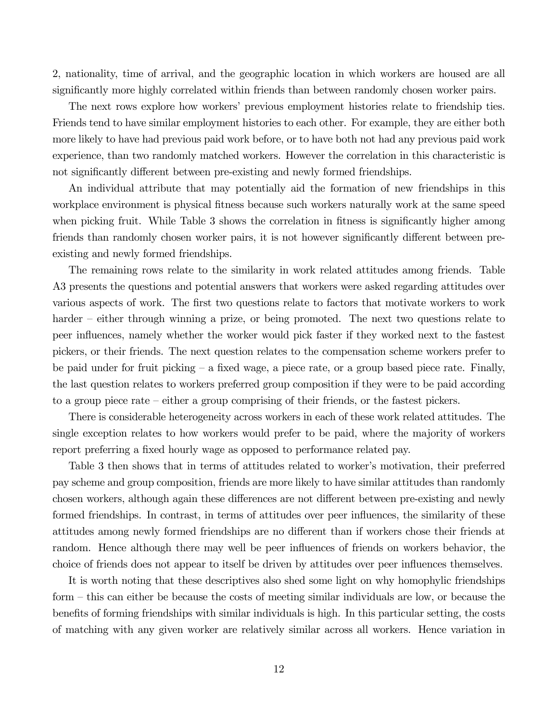2, nationality, time of arrival, and the geographic location in which workers are housed are all significantly more highly correlated within friends than between randomly chosen worker pairs.

The next rows explore how workers' previous employment histories relate to friendship ties. Friends tend to have similar employment histories to each other. For example, they are either both more likely to have had previous paid work before, or to have both not had any previous paid work experience, than two randomly matched workers. However the correlation in this characteristic is not significantly different between pre-existing and newly formed friendships.

An individual attribute that may potentially aid the formation of new friendships in this workplace environment is physical fitness because such workers naturally work at the same speed when picking fruit. While Table 3 shows the correlation in fitness is significantly higher among friends than randomly chosen worker pairs, it is not however significantly different between preexisting and newly formed friendships.

The remaining rows relate to the similarity in work related attitudes among friends. Table A3 presents the questions and potential answers that workers were asked regarding attitudes over various aspects of work. The first two questions relate to factors that motivate workers to work harder – either through winning a prize, or being promoted. The next two questions relate to peer influences, namely whether the worker would pick faster if they worked next to the fastest pickers, or their friends. The next question relates to the compensation scheme workers prefer to be paid under for fruit picking — a fixed wage, a piece rate, or a group based piece rate. Finally, the last question relates to workers preferred group composition if they were to be paid according to a group piece rate — either a group comprising of their friends, or the fastest pickers.

There is considerable heterogeneity across workers in each of these work related attitudes. The single exception relates to how workers would prefer to be paid, where the majority of workers report preferring a fixed hourly wage as opposed to performance related pay.

Table 3 then shows that in terms of attitudes related to worker's motivation, their preferred pay scheme and group composition, friends are more likely to have similar attitudes than randomly chosen workers, although again these differences are not different between pre-existing and newly formed friendships. In contrast, in terms of attitudes over peer influences, the similarity of these attitudes among newly formed friendships are no different than if workers chose their friends at random. Hence although there may well be peer influences of friends on workers behavior, the choice of friends does not appear to itself be driven by attitudes over peer influences themselves.

It is worth noting that these descriptives also shed some light on why homophylic friendships form — this can either be because the costs of meeting similar individuals are low, or because the benefits of forming friendships with similar individuals is high. In this particular setting, the costs of matching with any given worker are relatively similar across all workers. Hence variation in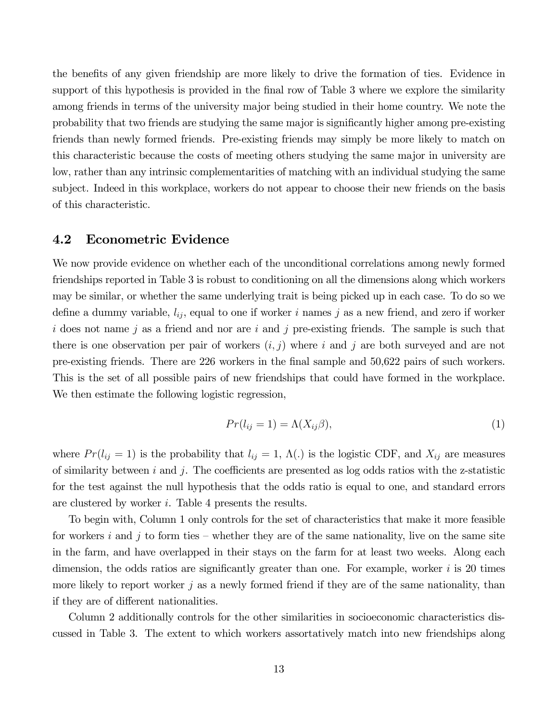the benefits of any given friendship are more likely to drive the formation of ties. Evidence in support of this hypothesis is provided in the final row of Table 3 where we explore the similarity among friends in terms of the university major being studied in their home country. We note the probability that two friends are studying the same major is significantly higher among pre-existing friends than newly formed friends. Pre-existing friends may simply be more likely to match on this characteristic because the costs of meeting others studying the same major in university are low, rather than any intrinsic complementarities of matching with an individual studying the same subject. Indeed in this workplace, workers do not appear to choose their new friends on the basis of this characteristic.

### 4.2 Econometric Evidence

We now provide evidence on whether each of the unconditional correlations among newly formed friendships reported in Table 3 is robust to conditioning on all the dimensions along which workers may be similar, or whether the same underlying trait is being picked up in each case. To do so we define a dummy variable,  $l_{ij}$ , equal to one if worker i names j as a new friend, and zero if worker i does not name j as a friend and nor are i and j pre-existing friends. The sample is such that there is one observation per pair of workers  $(i, j)$  where i and j are both surveyed and are not pre-existing friends. There are 226 workers in the final sample and 50,622 pairs of such workers. This is the set of all possible pairs of new friendships that could have formed in the workplace. We then estimate the following logistic regression,

$$
Pr(l_{ij} = 1) = \Lambda(X_{ij}\beta),\tag{1}
$$

where  $Pr(l_{ij} = 1)$  is the probability that  $l_{ij} = 1, \Lambda(.)$  is the logistic CDF, and  $X_{ij}$  are measures of similarity between  $i$  and  $j$ . The coefficients are presented as log odds ratios with the z-statistic for the test against the null hypothesis that the odds ratio is equal to one, and standard errors are clustered by worker i. Table 4 presents the results.

To begin with, Column 1 only controls for the set of characteristics that make it more feasible for workers i and j to form ties – whether they are of the same nationality, live on the same site in the farm, and have overlapped in their stays on the farm for at least two weeks. Along each dimension, the odds ratios are significantly greater than one. For example, worker  $i$  is 20 times more likely to report worker  $j$  as a newly formed friend if they are of the same nationality, than if they are of different nationalities.

Column 2 additionally controls for the other similarities in socioeconomic characteristics discussed in Table 3. The extent to which workers assortatively match into new friendships along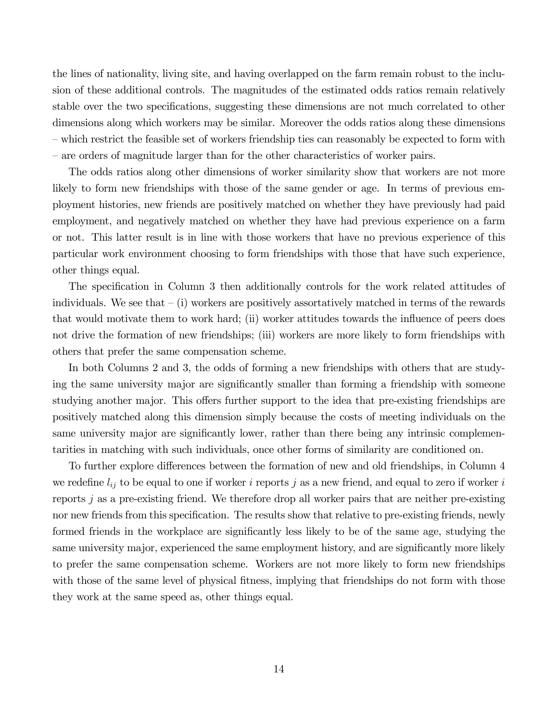the lines of nationality, living site, and having overlapped on the farm remain robust to the inclusion of these additional controls. The magnitudes of the estimated odds ratios remain relatively stable over the two specifications, suggesting these dimensions are not much correlated to other dimensions along which workers may be similar. Moreover the odds ratios along these dimensions — which restrict the feasible set of workers friendship ties can reasonably be expected to form with — are orders of magnitude larger than for the other characteristics of worker pairs.

The odds ratios along other dimensions of worker similarity show that workers are not more likely to form new friendships with those of the same gender or age. In terms of previous employment histories, new friends are positively matched on whether they have previously had paid employment, and negatively matched on whether they have had previous experience on a farm or not. This latter result is in line with those workers that have no previous experience of this particular work environment choosing to form friendships with those that have such experience, other things equal.

The specification in Column 3 then additionally controls for the work related attitudes of individuals. We see that  $-$  (i) workers are positively assortatively matched in terms of the rewards that would motivate them to work hard; (ii) worker attitudes towards the influence of peers does not drive the formation of new friendships; (iii) workers are more likely to form friendships with others that prefer the same compensation scheme.

In both Columns 2 and 3, the odds of forming a new friendships with others that are studying the same university major are significantly smaller than forming a friendship with someone studying another major. This offers further support to the idea that pre-existing friendships are positively matched along this dimension simply because the costs of meeting individuals on the same university major are significantly lower, rather than there being any intrinsic complementarities in matching with such individuals, once other forms of similarity are conditioned on.

To further explore differences between the formation of new and old friendships, in Column 4 we redefine  $l_{ij}$  to be equal to one if worker i reports j as a new friend, and equal to zero if worker i reports  $j$  as a pre-existing friend. We therefore drop all worker pairs that are neither pre-existing nor new friends from this specification. The results show that relative to pre-existing friends, newly formed friends in the workplace are significantly less likely to be of the same age, studying the same university major, experienced the same employment history, and are significantly more likely to prefer the same compensation scheme. Workers are not more likely to form new friendships with those of the same level of physical fitness, implying that friendships do not form with those they work at the same speed as, other things equal.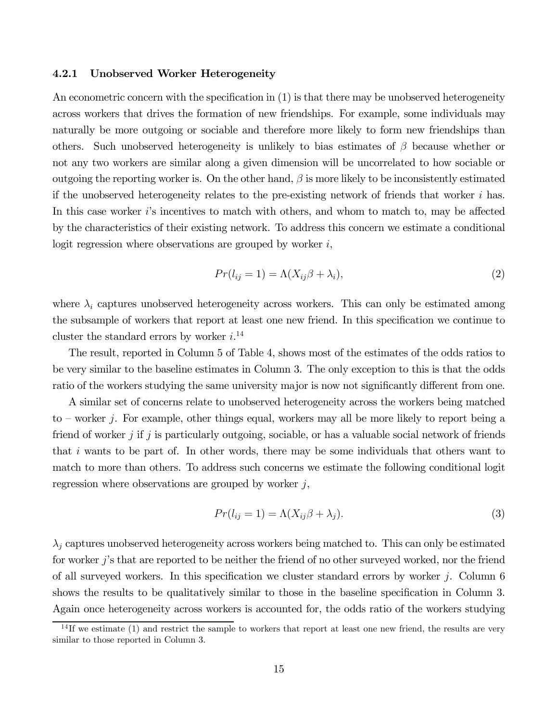#### 4.2.1 Unobserved Worker Heterogeneity

An econometric concern with the specification in (1) is that there may be unobserved heterogeneity across workers that drives the formation of new friendships. For example, some individuals may naturally be more outgoing or sociable and therefore more likely to form new friendships than others. Such unobserved heterogeneity is unlikely to bias estimates of  $\beta$  because whether or not any two workers are similar along a given dimension will be uncorrelated to how sociable or outgoing the reporting worker is. On the other hand,  $\beta$  is more likely to be inconsistently estimated if the unobserved heterogeneity relates to the pre-existing network of friends that worker i has. In this case worker i's incentives to match with others, and whom to match to, may be affected by the characteristics of their existing network. To address this concern we estimate a conditional logit regression where observations are grouped by worker i,

$$
Pr(l_{ij} = 1) = \Lambda(X_{ij}\beta + \lambda_i),\tag{2}
$$

where  $\lambda_i$  captures unobserved heterogeneity across workers. This can only be estimated among the subsample of workers that report at least one new friend. In this specification we continue to cluster the standard errors by worker  $i$ .<sup>14</sup>

The result, reported in Column 5 of Table 4, shows most of the estimates of the odds ratios to be very similar to the baseline estimates in Column 3. The only exception to this is that the odds ratio of the workers studying the same university major is now not significantly different from one.

A similar set of concerns relate to unobserved heterogeneity across the workers being matched to – worker j. For example, other things equal, workers may all be more likely to report being a friend of worker j if j is particularly outgoing, sociable, or has a valuable social network of friends that i wants to be part of. In other words, there may be some individuals that others want to match to more than others. To address such concerns we estimate the following conditional logit regression where observations are grouped by worker  $j$ ,

$$
Pr(l_{ij} = 1) = \Lambda(X_{ij}\beta + \lambda_j). \tag{3}
$$

 $\lambda_i$  captures unobserved heterogeneity across workers being matched to. This can only be estimated for worker j's that are reported to be neither the friend of no other surveyed worked, nor the friend of all surveyed workers. In this specification we cluster standard errors by worker  $j$ . Column 6 shows the results to be qualitatively similar to those in the baseline specification in Column 3. Again once heterogeneity across workers is accounted for, the odds ratio of the workers studying

 $14$  If we estimate (1) and restrict the sample to workers that report at least one new friend, the results are very similar to those reported in Column 3.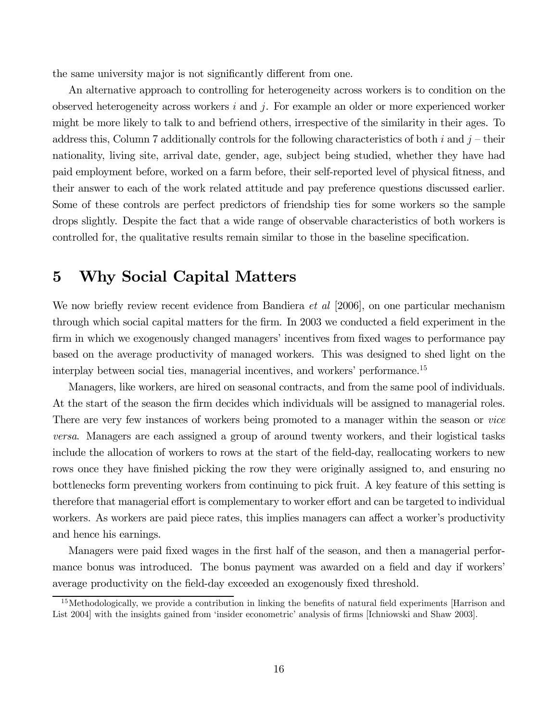the same university major is not significantly different from one.

An alternative approach to controlling for heterogeneity across workers is to condition on the observed heterogeneity across workers  $i$  and  $j$ . For example an older or more experienced worker might be more likely to talk to and befriend others, irrespective of the similarity in their ages. To address this, Column 7 additionally controls for the following characteristics of both i and  $j$  – their nationality, living site, arrival date, gender, age, subject being studied, whether they have had paid employment before, worked on a farm before, their self-reported level of physical fitness, and their answer to each of the work related attitude and pay preference questions discussed earlier. Some of these controls are perfect predictors of friendship ties for some workers so the sample drops slightly. Despite the fact that a wide range of observable characteristics of both workers is controlled for, the qualitative results remain similar to those in the baseline specification.

# 5 Why Social Capital Matters

We now briefly review recent evidence from Bandiera *et al* [2006], on one particular mechanism through which social capital matters for the firm. In 2003 we conducted a field experiment in the firm in which we exogenously changed managers' incentives from fixed wages to performance pay based on the average productivity of managed workers. This was designed to shed light on the interplay between social ties, managerial incentives, and workers' performance.15

Managers, like workers, are hired on seasonal contracts, and from the same pool of individuals. At the start of the season the firm decides which individuals will be assigned to managerial roles. There are very few instances of workers being promoted to a manager within the season or *vice* versa. Managers are each assigned a group of around twenty workers, and their logistical tasks include the allocation of workers to rows at the start of the field-day, reallocating workers to new rows once they have finished picking the row they were originally assigned to, and ensuring no bottlenecks form preventing workers from continuing to pick fruit. A key feature of this setting is therefore that managerial effort is complementary to worker effort and can be targeted to individual workers. As workers are paid piece rates, this implies managers can affect a worker's productivity and hence his earnings.

Managers were paid fixed wages in the first half of the season, and then a managerial performance bonus was introduced. The bonus payment was awarded on a field and day if workers' average productivity on the field-day exceeded an exogenously fixed threshold.

<sup>&</sup>lt;sup>15</sup>Methodologically, we provide a contribution in linking the benefits of natural field experiments [Harrison and List 2004] with the insights gained from 'insider econometric' analysis of firms [Ichniowski and Shaw 2003].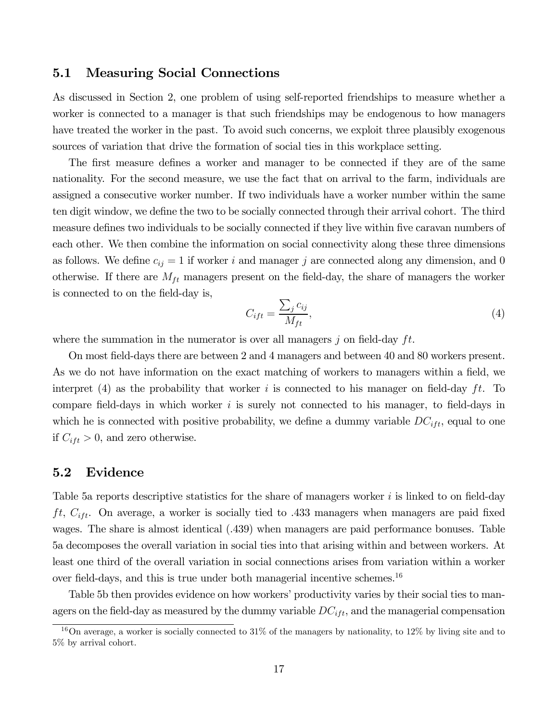### 5.1 Measuring Social Connections

As discussed in Section 2, one problem of using self-reported friendships to measure whether a worker is connected to a manager is that such friendships may be endogenous to how managers have treated the worker in the past. To avoid such concerns, we exploit three plausibly exogenous sources of variation that drive the formation of social ties in this workplace setting.

The first measure defines a worker and manager to be connected if they are of the same nationality. For the second measure, we use the fact that on arrival to the farm, individuals are assigned a consecutive worker number. If two individuals have a worker number within the same ten digit window, we define the two to be socially connected through their arrival cohort. The third measure defines two individuals to be socially connected if they live within five caravan numbers of each other. We then combine the information on social connectivity along these three dimensions as follows. We define  $c_{ij} = 1$  if worker i and manager j are connected along any dimension, and 0 otherwise. If there are  $M_{ft}$  managers present on the field-day, the share of managers the worker is connected to on the field-day is,

$$
C_{ift} = \frac{\sum_{j} c_{ij}}{M_{ft}},\tag{4}
$$

where the summation in the numerator is over all managers j on field-day  $ft$ .

On most field-days there are between 2 and 4 managers and between 40 and 80 workers present. As we do not have information on the exact matching of workers to managers within a field, we interpret (4) as the probability that worker i is connected to his manager on field-day  $ft$ . To compare field-days in which worker  $i$  is surely not connected to his manager, to field-days in which he is connected with positive probability, we define a dummy variable  $DC_{ift}$ , equal to one if  $C_{ift} > 0$ , and zero otherwise.

# 5.2 Evidence

Table 5a reports descriptive statistics for the share of managers worker  $i$  is linked to on field-day  $ft, C_{ift}$ . On average, a worker is socially tied to .433 managers when managers are paid fixed wages. The share is almost identical (.439) when managers are paid performance bonuses. Table 5a decomposes the overall variation in social ties into that arising within and between workers. At least one third of the overall variation in social connections arises from variation within a worker over field-days, and this is true under both managerial incentive schemes.<sup>16</sup>

Table 5b then provides evidence on how workers' productivity varies by their social ties to managers on the field-day as measured by the dummy variable  $DC_{ift}$ , and the managerial compensation

<sup>&</sup>lt;sup>16</sup>On average, a worker is socially connected to 31% of the managers by nationality, to 12% by living site and to 5% by arrival cohort.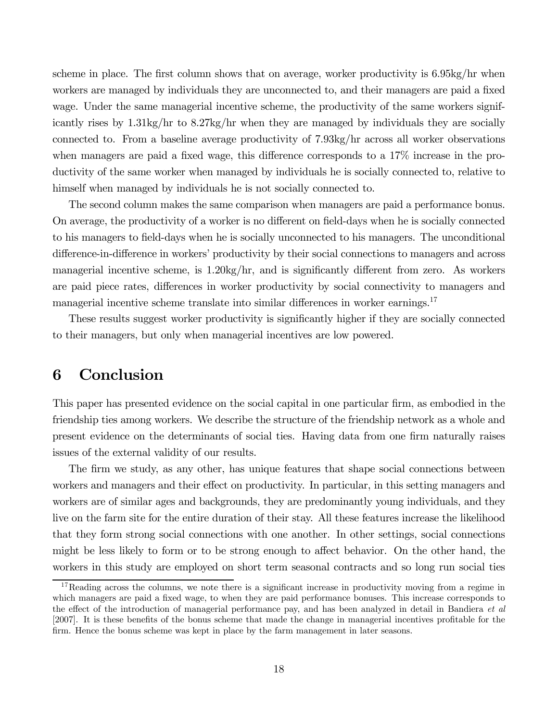scheme in place. The first column shows that on average, worker productivity is 6.95kg/hr when workers are managed by individuals they are unconnected to, and their managers are paid a fixed wage. Under the same managerial incentive scheme, the productivity of the same workers significantly rises by 1.31kg/hr to 8.27kg/hr when they are managed by individuals they are socially connected to. From a baseline average productivity of 7.93kg/hr across all worker observations when managers are paid a fixed wage, this difference corresponds to a 17% increase in the productivity of the same worker when managed by individuals he is socially connected to, relative to himself when managed by individuals he is not socially connected to.

The second column makes the same comparison when managers are paid a performance bonus. On average, the productivity of a worker is no different on field-days when he is socially connected to his managers to field-days when he is socially unconnected to his managers. The unconditional difference-in-difference in workers' productivity by their social connections to managers and across managerial incentive scheme, is 1.20kg/hr, and is significantly different from zero. As workers are paid piece rates, differences in worker productivity by social connectivity to managers and managerial incentive scheme translate into similar differences in worker earnings.<sup>17</sup>

These results suggest worker productivity is significantly higher if they are socially connected to their managers, but only when managerial incentives are low powered.

# 6 Conclusion

This paper has presented evidence on the social capital in one particular firm, as embodied in the friendship ties among workers. We describe the structure of the friendship network as a whole and present evidence on the determinants of social ties. Having data from one firm naturally raises issues of the external validity of our results.

The firm we study, as any other, has unique features that shape social connections between workers and managers and their effect on productivity. In particular, in this setting managers and workers are of similar ages and backgrounds, they are predominantly young individuals, and they live on the farm site for the entire duration of their stay. All these features increase the likelihood that they form strong social connections with one another. In other settings, social connections might be less likely to form or to be strong enough to affect behavior. On the other hand, the workers in this study are employed on short term seasonal contracts and so long run social ties

<sup>&</sup>lt;sup>17</sup>Reading across the columns, we note there is a significant increase in productivity moving from a regime in which managers are paid a fixed wage, to when they are paid performance bonuses. This increase corresponds to the effect of the introduction of managerial performance pay, and has been analyzed in detail in Bandiera et al [2007]. It is these benefits of the bonus scheme that made the change in managerial incentives profitable for the firm. Hence the bonus scheme was kept in place by the farm management in later seasons.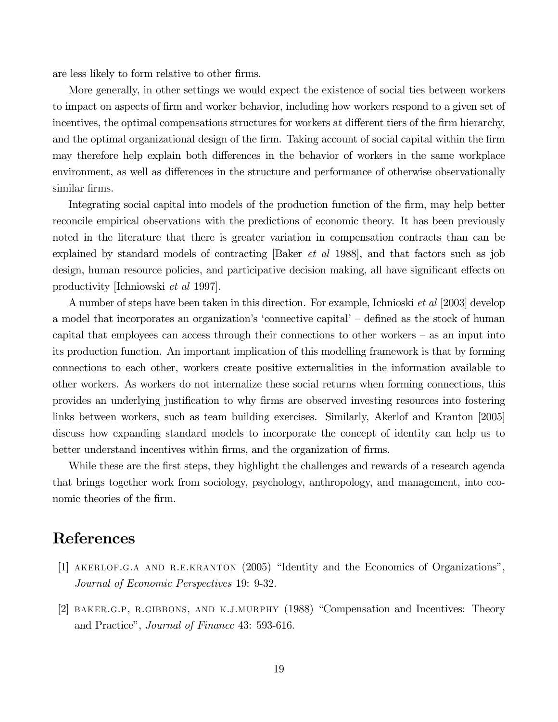are less likely to form relative to other firms.

More generally, in other settings we would expect the existence of social ties between workers to impact on aspects of firm and worker behavior, including how workers respond to a given set of incentives, the optimal compensations structures for workers at different tiers of the firm hierarchy, and the optimal organizational design of the firm. Taking account of social capital within the firm may therefore help explain both differences in the behavior of workers in the same workplace environment, as well as differences in the structure and performance of otherwise observationally similar firms.

Integrating social capital into models of the production function of the firm, may help better reconcile empirical observations with the predictions of economic theory. It has been previously noted in the literature that there is greater variation in compensation contracts than can be explained by standard models of contracting [Baker et al 1988], and that factors such as job design, human resource policies, and participative decision making, all have significant effects on productivity [Ichniowski et al 1997].

A number of steps have been taken in this direction. For example, Ichnioski et al [2003] develop a model that incorporates an organization's 'connective capital' — defined as the stock of human capital that employees can access through their connections to other workers — as an input into its production function. An important implication of this modelling framework is that by forming connections to each other, workers create positive externalities in the information available to other workers. As workers do not internalize these social returns when forming connections, this provides an underlying justification to why firms are observed investing resources into fostering links between workers, such as team building exercises. Similarly, Akerlof and Kranton [2005] discuss how expanding standard models to incorporate the concept of identity can help us to better understand incentives within firms, and the organization of firms.

While these are the first steps, they highlight the challenges and rewards of a research agenda that brings together work from sociology, psychology, anthropology, and management, into economic theories of the firm.

# References

- [1] akerlof.g.a and r.e.kranton (2005) "Identity and the Economics of Organizations", Journal of Economic Perspectives 19: 9-32.
- [2] baker.g.p, r.gibbons, and k.j.murphy (1988) "Compensation and Incentives: Theory and Practice", Journal of Finance 43: 593-616.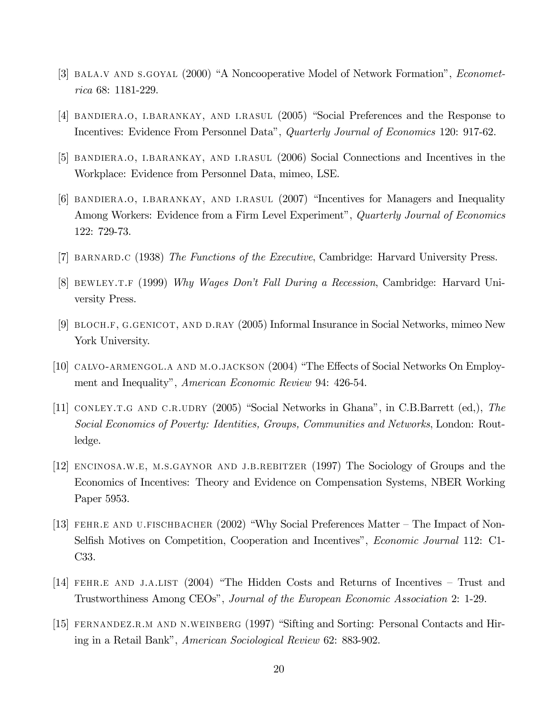- [3] BALA.V AND S.GOYAL (2000) "A Noncooperative Model of Network Formation", *Economet*rica 68: 1181-229.
- [4] BANDIERA.O, I.BARANKAY, AND I.RASUL (2005) "Social Preferences and the Response to Incentives: Evidence From Personnel Data", Quarterly Journal of Economics 120: 917-62.
- [5] BANDIERA.O, I.BARANKAY, AND I.RASUL (2006) Social Connections and Incentives in the Workplace: Evidence from Personnel Data, mimeo, LSE.
- [6] BANDIERA.O, I.BARANKAY, AND I.RASUL (2007) "Incentives for Managers and Inequality Among Workers: Evidence from a Firm Level Experiment", Quarterly Journal of Economics 122: 729-73.
- [7] BARNARD.C (1938) The Functions of the Executive, Cambridge: Harvard University Press.
- [8] BEWLEY.T.F (1999) Why Wages Don't Fall During a Recession, Cambridge: Harvard University Press.
- [9] bloch.f, g.genicot, and d.ray (2005) Informal Insurance in Social Networks, mimeo New York University.
- [10] CALVO-ARMENGOL.A AND M.O.JACKSON (2004) "The Effects of Social Networks On Employment and Inequality", American Economic Review 94: 426-54.
- [11] CONLEY.T.G AND C.R.UDRY (2005) "Social Networks in Ghana", in C.B.Barrett (ed,), The Social Economics of Poverty: Identities, Groups, Communities and Networks, London: Routledge.
- [12] encinosa.w.e, m.s.gaynor and j.b.rebitzer (1997) The Sociology of Groups and the Economics of Incentives: Theory and Evidence on Compensation Systems, NBER Working Paper 5953.
- [13] fehr.e and u.fischbacher (2002) "Why Social Preferences Matter The Impact of Non-Selfish Motives on Competition, Cooperation and Incentives", *Economic Journal* 112: C1-C33.
- [14] fehr.e and j.a.list (2004) "The Hidden Costs and Returns of Incentives Trust and Trustworthiness Among CEOs", Journal of the European Economic Association 2: 1-29.
- [15] FERNANDEZ.R.M AND N.WEINBERG (1997) "Sifting and Sorting: Personal Contacts and Hiring in a Retail Bank", American Sociological Review 62: 883-902.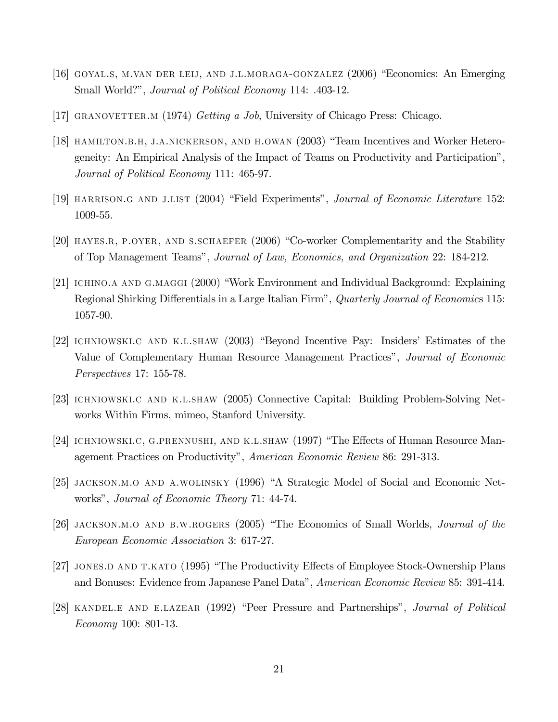- [16] goyal.s, m.van der leij, and j.l.moraga-gonzalez (2006) "Economics: An Emerging Small World?", Journal of Political Economy 114: .403-12.
- [17] granovetter.m (1974) Getting a Job, University of Chicago Press: Chicago.
- [18] hamilton.b.h, j.a.nickerson, and h.owan (2003) "Team Incentives and Worker Heterogeneity: An Empirical Analysis of the Impact of Teams on Productivity and Participation", Journal of Political Economy 111: 465-97.
- [19] HARRISON.G AND J.LIST (2004) "Field Experiments", Journal of Economic Literature 152: 1009-55.
- [20] hayes.r, p.oyer, and s.schaefer (2006) "Co-worker Complementarity and the Stability of Top Management Teams", Journal of Law, Economics, and Organization 22: 184-212.
- [21] ichino.a and g.maggi (2000) "Work Environment and Individual Background: Explaining Regional Shirking Differentials in a Large Italian Firm", Quarterly Journal of Economics 115: 1057-90.
- [22] ichniowski.c and k.l.shaw (2003) "Beyond Incentive Pay: Insiders' Estimates of the Value of Complementary Human Resource Management Practices", Journal of Economic Perspectives 17: 155-78.
- [23] ichniowski.c and k.l.shaw (2005) Connective Capital: Building Problem-Solving Networks Within Firms, mimeo, Stanford University.
- [24] ichniowski.c, g.prennushi, and k.l.shaw (1997) "The Effects of Human Resource Management Practices on Productivity", American Economic Review 86: 291-313.
- [25] jackson.m.o and a.wolinsky (1996) "A Strategic Model of Social and Economic Networks", Journal of Economic Theory 71: 44-74.
- [26] JACKSON.M.O AND B.W.ROGERS (2005) "The Economics of Small Worlds, *Journal of the* European Economic Association 3: 617-27.
- [27] JONES.D AND T.KATO (1995) "The Productivity Effects of Employee Stock-Ownership Plans and Bonuses: Evidence from Japanese Panel Data", American Economic Review 85: 391-414.
- [28] kandel.e and e.lazear (1992) "Peer Pressure and Partnerships", Journal of Political Economy 100: 801-13.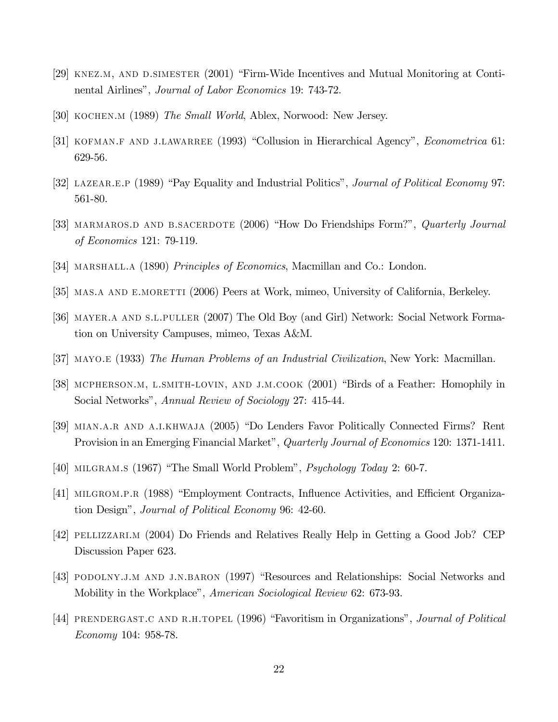- [29] KNEZ.M, AND D.SIMESTER (2001) "Firm-Wide Incentives and Mutual Monitoring at Continental Airlines", Journal of Labor Economics 19: 743-72.
- [30] KOCHEN.M (1989) The Small World, Ablex, Norwood: New Jersey.
- [31] KOFMAN.F AND J.LAWARREE (1993) "Collusion in Hierarchical Agency", *Econometrica* 61: 629-56.
- [32] LAZEAR.E.P (1989) "Pay Equality and Industrial Politics", *Journal of Political Economy* 97: 561-80.
- [33] MARMAROS.D AND B.SACERDOTE (2006) "How Do Friendships Form?", *Quarterly Journal* of Economics 121: 79-119.
- [34] MARSHALL.A (1890) *Principles of Economics*, Macmillan and Co.: London.
- [35] mas.a and e.moretti (2006) Peers at Work, mimeo, University of California, Berkeley.
- [36] mayer.a and s.l.puller (2007) The Old Boy (and Girl) Network: Social Network Formation on University Campuses, mimeo, Texas A&M.
- [37] mayo.e (1933) The Human Problems of an Industrial Civilization, New York: Macmillan.
- [38] mcpherson.m, l.smith-lovin, and j.m.cook (2001) "Birds of a Feather: Homophily in Social Networks", Annual Review of Sociology 27: 415-44.
- [39] mian.a.r and a.i.khwaja (2005) "Do Lenders Favor Politically Connected Firms? Rent Provision in an Emerging Financial Market", *Quarterly Journal of Economics* 120: 1371-1411.
- [40] milgram.s (1967) "The Small World Problem", Psychology Today 2: 60-7.
- [41] milgrom.p.r (1988) "Employment Contracts, Influence Activities, and Efficient Organization Design", Journal of Political Economy 96: 42-60.
- [42] PELLIZZARI.M (2004) Do Friends and Relatives Really Help in Getting a Good Job? CEP Discussion Paper 623.
- [43] podolny.j.m and j.n.baron (1997) "Resources and Relationships: Social Networks and Mobility in the Workplace", *American Sociological Review* 62: 673-93.
- [44] PRENDERGAST.C AND R.H.TOPEL (1996) "Favoritism in Organizations", Journal of Political Economy 104: 958-78.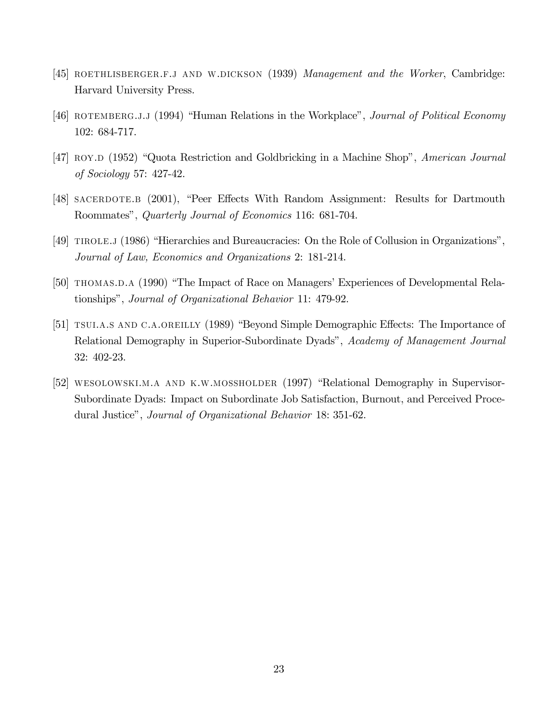- [45] ROETHLISBERGER.F.J AND W.DICKSON (1939) Management and the Worker, Cambridge: Harvard University Press.
- [46] ROTEMBERG.J.J (1994) "Human Relations in the Workplace", *Journal of Political Economy* 102: 684-717.
- [47] ROY.D (1952) "Quota Restriction and Goldbricking in a Machine Shop", American Journal of Sociology 57: 427-42.
- [48] SACERDOTE.B (2001), "Peer Effects With Random Assignment: Results for Dartmouth Roommates", Quarterly Journal of Economics 116: 681-704.
- [49] tirole.j (1986) "Hierarchies and Bureaucracies: On the Role of Collusion in Organizations", Journal of Law, Economics and Organizations 2: 181-214.
- [50] THOMAS.D.A (1990) "The Impact of Race on Managers' Experiences of Developmental Relationships", Journal of Organizational Behavior 11: 479-92.
- [51] tsui.a.s and c.a.oreilly (1989) "Beyond Simple Demographic Effects: The Importance of Relational Demography in Superior-Subordinate Dyads", Academy of Management Journal 32: 402-23.
- [52] wesolowski.m.a and k.w.mossholder (1997) "Relational Demography in Supervisor-Subordinate Dyads: Impact on Subordinate Job Satisfaction, Burnout, and Perceived Procedural Justice", Journal of Organizational Behavior 18: 351-62.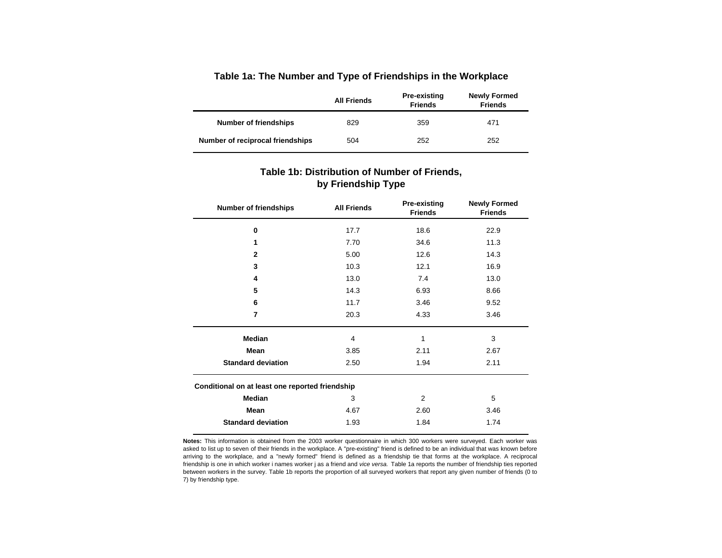|                                  | <b>All Friends</b> | <b>Pre-existing</b><br><b>Friends</b> | <b>Newly Formed</b><br><b>Friends</b> |
|----------------------------------|--------------------|---------------------------------------|---------------------------------------|
| <b>Number of friendships</b>     | 829                | 359                                   | 471                                   |
| Number of reciprocal friendships | 504                | 252                                   | 252                                   |

### **Table 1a: The Number and Type of Friendships in the Workplace**

#### **Table 1b: Distribution of Number of Friends, by Friendship Type**

| Number of friendships                           | <b>All Friends</b> | <b>Pre-existing</b><br><b>Friends</b> | <b>Newly Formed</b><br><b>Friends</b> |  |  |  |  |  |
|-------------------------------------------------|--------------------|---------------------------------------|---------------------------------------|--|--|--|--|--|
| 0                                               | 17.7               | 18.6                                  | 22.9                                  |  |  |  |  |  |
| 1                                               | 7.70               | 34.6                                  | 11.3                                  |  |  |  |  |  |
| $\mathbf{2}$                                    | 5.00               | 12.6                                  | 14.3                                  |  |  |  |  |  |
| 3                                               | 10.3               | 12.1                                  | 16.9                                  |  |  |  |  |  |
| 4                                               | 13.0               | 7.4                                   | 13.0                                  |  |  |  |  |  |
| 5                                               | 14.3               | 6.93                                  | 8.66                                  |  |  |  |  |  |
| 6                                               | 11.7               | 3.46                                  | 9.52                                  |  |  |  |  |  |
| $\overline{7}$                                  | 20.3               | 4.33                                  | 3.46                                  |  |  |  |  |  |
| <b>Median</b>                                   | 4                  | 1                                     | 3                                     |  |  |  |  |  |
| <b>Mean</b>                                     | 3.85               | 2.11                                  | 2.67                                  |  |  |  |  |  |
| <b>Standard deviation</b>                       | 2.50               | 1.94                                  | 2.11                                  |  |  |  |  |  |
| Conditional on at least one reported friendship |                    |                                       |                                       |  |  |  |  |  |
| <b>Median</b>                                   | 3                  | 2                                     | 5                                     |  |  |  |  |  |
| Mean                                            | 4.67               | 2.60                                  | 3.46                                  |  |  |  |  |  |
| <b>Standard deviation</b>                       | 1.93               | 1.84                                  | 1.74                                  |  |  |  |  |  |

**Notes:** This information is obtained from the 2003 worker questionnaire in which 300 workers were surveyed. Each worker was asked to list up to seven of their friends in the workplace. A "pre-existing" friend is defined to be an individual that was known before arriving to the workplace, and <sup>a</sup> "newly formed" friend is defined as <sup>a</sup> friendship tie that forms at the workplace. A reciprocal friendship is one in which worker i names worker j as <sup>a</sup> friend and *vice versa.* Table 1a reports the number of friendship ties reported between workers in the survey. Table 1b reports the proportion of all surveyed workers that report any given number of friends (0 to 7) by friendship type.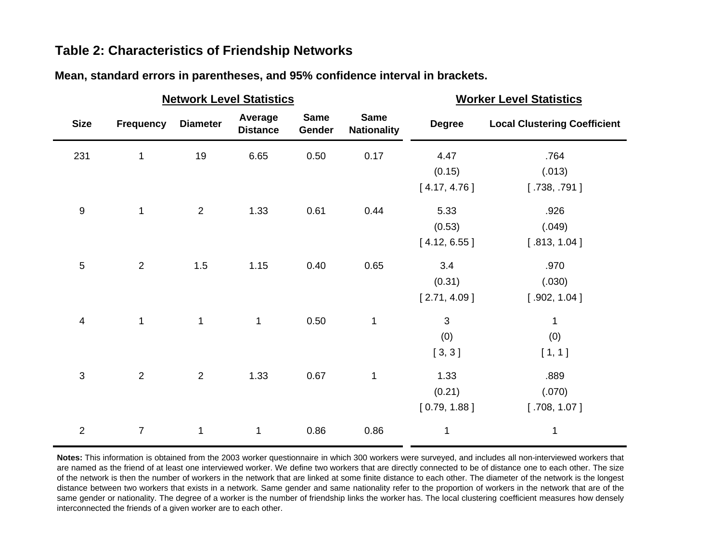# **Table 2: Characteristics of Friendship Networks**

|                  |                  |                 | <b>Network Level Statistics</b> |                       |                                   |                                                | <b>Worker Level Statistics</b>                 |
|------------------|------------------|-----------------|---------------------------------|-----------------------|-----------------------------------|------------------------------------------------|------------------------------------------------|
| <b>Size</b>      | <b>Frequency</b> | <b>Diameter</b> | Average<br><b>Distance</b>      | <b>Same</b><br>Gender | <b>Same</b><br><b>Nationality</b> | <b>Degree</b>                                  | <b>Local Clustering Coefficient</b>            |
| 231              | 1                | 19              | 6.65                            | 0.50                  | 0.17                              | 4.47<br>(0.15)                                 | .764<br>(.013)                                 |
| $\boldsymbol{9}$ | $\mathbf{1}$     | $\overline{2}$  | 1.33                            | 0.61                  | 0.44                              | [4.17, 4.76]<br>5.33<br>(0.53)<br>[4.12, 6.55] | [.738, .791]<br>.926<br>(.049)<br>[.813, 1.04] |
| 5                | 2                | 1.5             | 1.15                            | 0.40                  | 0.65                              | 3.4<br>(0.31)<br>[2.71, 4.09]                  | .970<br>(.030)<br>[.902, 1.04]                 |
| $\overline{4}$   | $\mathbf 1$      | $\mathbf{1}$    | $\mathbf{1}$                    | 0.50                  | $\mathbf{1}$                      | 3<br>(0)<br>[3, 3]                             | $\mathbf{1}$<br>(0)<br>[1, 1]                  |
| 3                | $\overline{2}$   | $\overline{2}$  | 1.33                            | 0.67                  | $\mathbf{1}$                      | 1.33<br>(0.21)<br>[0.79, 1.88]                 | .889<br>(.070)<br>[.708, 1.07]                 |
| $\overline{2}$   | $\overline{7}$   | $\mathbf{1}$    | $\mathbf{1}$                    | 0.86                  | 0.86                              | 1                                              | $\mathbf 1$                                    |

**Mean, standard errors in parentheses, and 95% confidence interval in brackets.**

**Notes:** This information is obtained from the 2003 worker questionnaire in which 300 workers were surveyed, and includes all non-interviewed workers that are named as the friend of at least one interviewed worker. We define two workers that are directly connected to be of distance one to each other. The size of the network is then the number of workers in the network that are linked at some finite distance to each other. The diameter of the network is the longest distance between two workers that exists in <sup>a</sup> network. Same gender and same nationality refer to the proportion of workers in the network that are of the same gender or nationality. The degree of <sup>a</sup> worker is the number of friendship links the worker has. The local clustering coefficient measures how densely interconnected the friends of a given worker are to each other.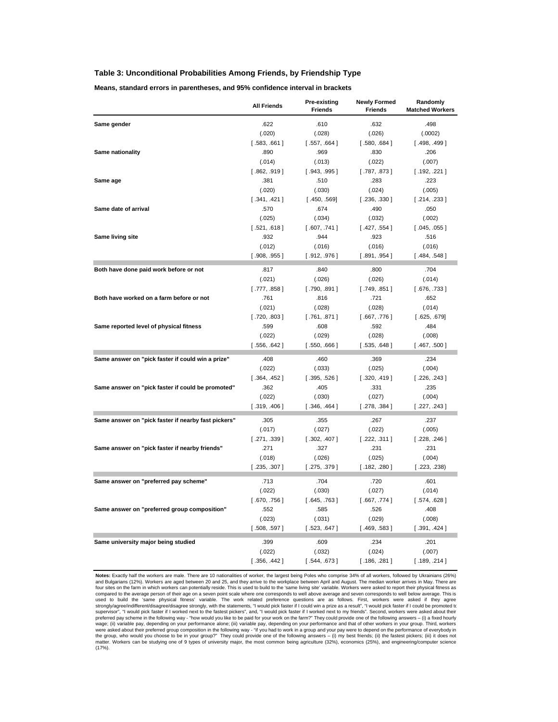#### **Table 3: Unconditional Probabilities Among Friends, by Friendship Type**

**Means, standard errors in parentheses, and 95% confidence interval in brackets**

|                                                     | <b>All Friends</b> | <b>Pre-existing</b><br><b>Friends</b> | <b>Newly Formed</b><br><b>Friends</b> | Randomly<br><b>Matched Workers</b> |
|-----------------------------------------------------|--------------------|---------------------------------------|---------------------------------------|------------------------------------|
| Same gender                                         | .622               | .610                                  | .632                                  | .498                               |
|                                                     | (.020)             | (.028)                                | (.026)                                | (.0002)                            |
|                                                     | [.583, .661]       | [.557, .664]                          | [.580, .684]                          | [.498, .499]                       |
| Same nationality                                    | .890               | .969                                  | .830                                  | .206                               |
|                                                     | (.014)             | (.013)                                | (.022)                                | (.007)                             |
|                                                     | [.862, .919]       | [.943, .995]                          | [.787, .873]                          | [.192, .221]                       |
| Same age                                            | .381               | .510                                  | .283                                  | .223                               |
|                                                     | (.020)             | (.030)                                | (.024)                                | (.005)                             |
|                                                     | [ .341, .421 ]     | [.450, .569]                          | [.236, .330]                          | [.214, .233]                       |
| Same date of arrival                                | .570               | .674                                  | .490                                  | .050                               |
|                                                     | (.025)             | (.034)                                | (.032)                                | (.002)                             |
|                                                     | [.521, .618]       | [.607, .741]                          | [.427, .554]                          | [.045, .055]                       |
| Same living site                                    | .932               | .944                                  | .923                                  | .516                               |
|                                                     | (.012)             | (.016)                                | (.016)                                | (.016)                             |
|                                                     | [.908, .955]       | [.912, .976]                          | [.891, .954]                          | [.484, .548]                       |
|                                                     | .817               | .840                                  | .800                                  |                                    |
| Both have done paid work before or not              |                    |                                       | (.026)                                | .704<br>(.014)                     |
|                                                     | (.021)             | (.026)                                |                                       |                                    |
|                                                     | [.777, .858]       | [.790, .891]                          | [.749, .851]                          | [.676, .733]                       |
| Both have worked on a farm before or not            | .761               | .816                                  | .721                                  | .652                               |
|                                                     | (.021)             | (.028)                                | (.028)                                | (.014)                             |
|                                                     | [.720, .803]       | [.761, .871]                          | [.667, .776]                          | [.625, .679]                       |
| Same reported level of physical fitness             | .599               | .608                                  | .592                                  | .484                               |
|                                                     | (.022)             | (.029)                                | (.028)                                | (.008)                             |
|                                                     | [.556, .642]       | [.550, .666]                          | [.535, .648]                          | [.467, .500]                       |
| Same answer on "pick faster if could win a prize"   | .408               | .460                                  | .369                                  | .234                               |
|                                                     | (.022)             | (.033)                                | (.025)                                | (.004)                             |
|                                                     | [.364, .452]       | [.395, .526]                          | [.320, .419]                          | [.226, .243]                       |
| Same answer on "pick faster if could be promoted"   | .362               | .405                                  | .331                                  | .235                               |
|                                                     | (.022)             | (.030)                                | (.027)                                | (.004)                             |
|                                                     | [.319, .406]       | [.346, .464]                          | [.278, .384]                          | [.227, .243]                       |
| Same answer on "pick faster if nearby fast pickers" | .305               | .355                                  | .267                                  | .237                               |
|                                                     | (.017)             | (.027)                                | (.022)                                | (.005)                             |
|                                                     | [.271, .339]       | [.302, .407]                          | [.222, .311]                          | [.228, .246]                       |
|                                                     | .271               | .327                                  | .231                                  | .231                               |
| Same answer on "pick faster if nearby friends"      | (.018)             | (.026)                                | (.025)                                | (.004)                             |
|                                                     |                    |                                       |                                       |                                    |
|                                                     | [.235, .307]       | [.275, .379]                          | [.182, .280]                          | [.223, .238)                       |
| Same answer on "preferred pay scheme"               | .713               | .704                                  | .720                                  | .601                               |
|                                                     | (.022)             | (.030)                                | (.027)                                | (.014)                             |
|                                                     | [.670, .756]       | [.645, .763]                          | [.667, .774]                          | [.574, .628]                       |
| Same answer on "preferred group composition"        | .552               | .585                                  | .526                                  | .408                               |
|                                                     | (.023)             | (.031)                                | (.029)                                | (.008)                             |
|                                                     | [.508, .597]       | [.523, .647]                          | [.469, .583]                          | [.391, .424]                       |
| Same university major being studied                 | .399               | .609                                  | .234                                  | .201                               |
|                                                     | (.022)             | (.032)                                | (.024)                                | (.007)                             |
|                                                     | [.356, .442]       | [.544, .673]                          | [.186, .281]                          | [.189, .214]                       |
|                                                     |                    |                                       |                                       |                                    |

**Notes:** Exactly half the workers are male. There are 10 nationalities of worker, the largest being Poles who comprise 34% of all workers, followed by Ukrainians (26%) and Bulgarians (12%). Workers are aged between 20 and 25, and they arrive to the workplace between April and August. The median worker arrives in May. There are four sites on the farm in which workers can potentially reside. This is used to build to the 'same living site' variable. Workers were asked to report their physical fitness as compared to the average person of their age on a seven point scale where one corresponds to well above average and seven corresponds to well below average. This is<br>used to build the 'same physical fitness' variable. The wo preferred pay scheme in the following way - "how would you like to be paid for your work on the farm?" They could provide one of the following answers – (i) a fixed hourly<br>wage; (ii) variable pay, depending on your perform were asked about their preferred group composition in the following way - "if you had to work in a group and your pay were to depend on the performance of everybody in<br>the group, who would you choose to be in your group?" matter. Workers can be studying one of 9 types of university major, the most common being agriculture (32%), economics (25%), and engineering/computer science  $(17%)$ .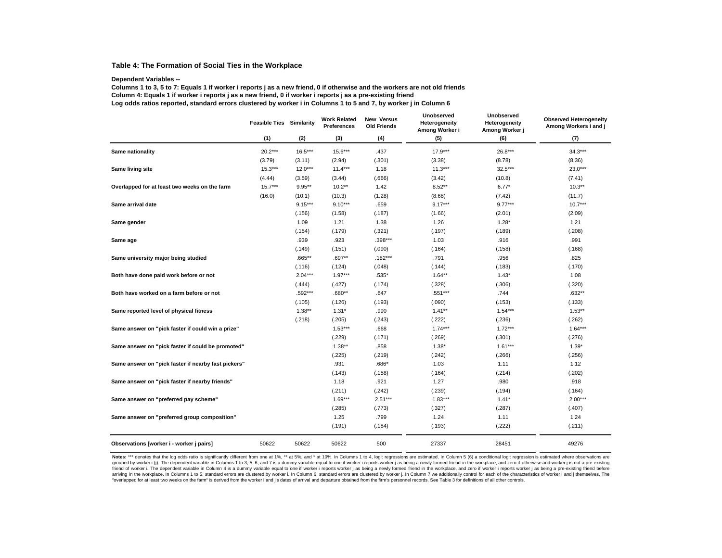#### **Table 4: The Formation of Social Ties in the Workplace**

#### **Dependent Variables --**

**Columns 1 to 3, 5 to 7: Equals 1 if worker i reports j as a new friend, 0 if otherwise and the workers are not old friends Column 4: Equals 1 if worker i reports j as a new friend, 0 if worker i reports j as a pre-existing friend Log odds ratios reported, standard errors clustered by worker i in Columns 1 to 5 and 7, by worker j in Column 6**

|                                                     | <b>Feasible Ties Similarity</b> |           | <b>Work Related</b><br>Preferences | <b>New Versus</b><br><b>Old Friends</b> | Unobserved<br>Heterogeneity<br>Among Worker i | Unobserved<br>Heterogeneity<br>Among Worker j | <b>Observed Heterogeneity</b><br>Among Workers i and j |
|-----------------------------------------------------|---------------------------------|-----------|------------------------------------|-----------------------------------------|-----------------------------------------------|-----------------------------------------------|--------------------------------------------------------|
|                                                     | (1)                             | (2)       | (3)                                | (4)                                     | (5)                                           | (6)                                           | (7)                                                    |
| Same nationality                                    | $20.2***$                       | $16.5***$ | $15.6***$                          | .437                                    | $17.9***$                                     | 26.8***                                       | $34.3***$                                              |
|                                                     | (3.79)                          | (3.11)    | (2.94)                             | (.301)                                  | (3.38)                                        | (8.78)                                        | (8.36)                                                 |
| Same living site                                    | $15.3***$                       | $12.0***$ | $11.4***$                          | 1.18                                    | $11.3***$                                     | $32.5***$                                     | $23.0***$                                              |
|                                                     | (4.44)                          | (3.59)    | (3.44)                             | (.666)                                  | (3.42)                                        | (10.8)                                        | (7.41)                                                 |
| Overlapped for at least two weeks on the farm       | $15.7***$                       | $9.95***$ | $10.2**$                           | 1.42                                    | $8.52**$                                      | $6.77*$                                       | $10.3**$                                               |
|                                                     | (16.0)                          | (10.1)    | (10.3)                             | (1.28)                                  | (8.68)                                        | (7.42)                                        | (11.7)                                                 |
| Same arrival date                                   |                                 | $9.15***$ | $9.10***$                          | .659                                    | $9.17***$                                     | $9.77***$                                     | $10.7***$                                              |
|                                                     |                                 | (.156)    | (1.58)                             | (.187)                                  | (1.66)                                        | (2.01)                                        | (2.09)                                                 |
| Same gender                                         |                                 | 1.09      | 1.21                               | 1.38                                    | 1.26                                          | $1.28*$                                       | 1.21                                                   |
|                                                     |                                 | (.154)    | (.179)                             | (.321)                                  | (.197)                                        | (.189)                                        | (.208)                                                 |
| Same age                                            |                                 | .939      | .923                               | .398***                                 | 1.03                                          | .916                                          | .991                                                   |
|                                                     |                                 | (.149)    | (.151)                             | (.090)                                  | (.164)                                        | (.158)                                        | (.168)                                                 |
| Same university major being studied                 |                                 | $.665**$  | $.697**$                           | $.182***$                               | .791                                          | .956                                          | .825                                                   |
|                                                     |                                 | (.116)    | (.124)                             | (.048)                                  | (.144)                                        | (.183)                                        | (.170)                                                 |
| Both have done paid work before or not              |                                 | $2.04***$ | $1.97***$                          | .535*                                   | $1.64**$                                      | $1.43*$                                       | 1.08                                                   |
|                                                     |                                 | (.444)    | (.427)                             | (.174)                                  | (.328)                                        | (.306)                                        | (.320)                                                 |
| Both have worked on a farm before or not            |                                 | .592***   | $.680**$                           | .647                                    | .551***                                       | .744                                          | $.632**$                                               |
|                                                     |                                 | (.105)    | (.126)                             | (.193)                                  | (.090)                                        | (.153)                                        | (.133)                                                 |
| Same reported level of physical fitness             |                                 | $1.38**$  | $1.31*$                            | .990                                    | $1.41**$                                      | $1.54***$                                     | $1.53**$                                               |
|                                                     |                                 | (.218)    | (.205)                             | (.243)                                  | (.222)                                        | (.236)                                        | (.262)                                                 |
| Same answer on "pick faster if could win a prize"   |                                 |           | $1.53***$                          | .668                                    | $1.74***$                                     | $1.72***$                                     | $1.64***$                                              |
|                                                     |                                 |           | (.229)                             | (.171)                                  | (.269)                                        | (.301)                                        | (.276)                                                 |
| Same answer on "pick faster if could be promoted"   |                                 |           | $1.38**$                           | .858                                    | $1.38*$                                       | $1.61***$                                     | $1.39*$                                                |
|                                                     |                                 |           | (.225)                             | (.219)                                  | (.242)                                        | (.266)                                        | (.256)                                                 |
| Same answer on "pick faster if nearby fast pickers" |                                 |           | .931                               | $.686*$                                 | 1.03                                          | 1.11                                          | 1.12                                                   |
|                                                     |                                 |           | (.143)                             | (.158)                                  | (.164)                                        | (.214)                                        | (.202)                                                 |
| Same answer on "pick faster if nearby friends"      |                                 |           | 1.18                               | .921                                    | 1.27                                          | .980                                          | .918                                                   |
|                                                     |                                 |           | (.211)                             | (.242)                                  | (.239)                                        | (.194)                                        | (.164)                                                 |
| Same answer on "preferred pay scheme"               |                                 |           | $1.69***$                          | $2.51***$                               | $1.83***$                                     | $1.41*$                                       | $2.00***$                                              |
|                                                     |                                 |           | (.285)                             | (.773)                                  | (.327)                                        | (.287)                                        | (.407)                                                 |
| Same answer on "preferred group composition"        |                                 |           | 1.25                               | .799                                    | 1.24                                          | 1.11                                          | 1.24                                                   |
|                                                     |                                 |           | (.191)                             | (.184)                                  | (.193)                                        | (.222)                                        | (.211)                                                 |
| Observations [worker i - worker j pairs]            | 50622                           | 50622     | 50622                              | 500                                     | 27337                                         | 28451                                         | 49276                                                  |

Notes: \*\*\* denotes that the log odds ratio is significantly different from one at 1%, \*\* at 5%, and \* at 10%. In Columns 1 to 4, logit regressions are estimated. In Column 5 (6) a conditional logit regression is estimated grouped by worker i (j). The dependent variable in Columns 1 to 3, 5, 6, and 7 is a dummy variable equal to one if worker i reports worker j as being a newly formed friend in the workplace, and zero if otherwise and worker friend of worker i. The dependent variable in Column 4 is a dummy variable equal to one if worker i reports worker i as being a newly formed friend in the workplace, and zero if worker i reports worker i as being a pre-exi arriving in the workplace. In Columns 1 to 5, standard errors are clustered by worker i. In Column 6, standard errors are clustered by worker j. In Column 7 we additionally control for each of the characteristics of worker "overlapped for at least two weeks on the farm" is derived from the worker i and j's dates of arrival and departure obtained from the firm's personnel records. See Table 3 for definitions of all other controls.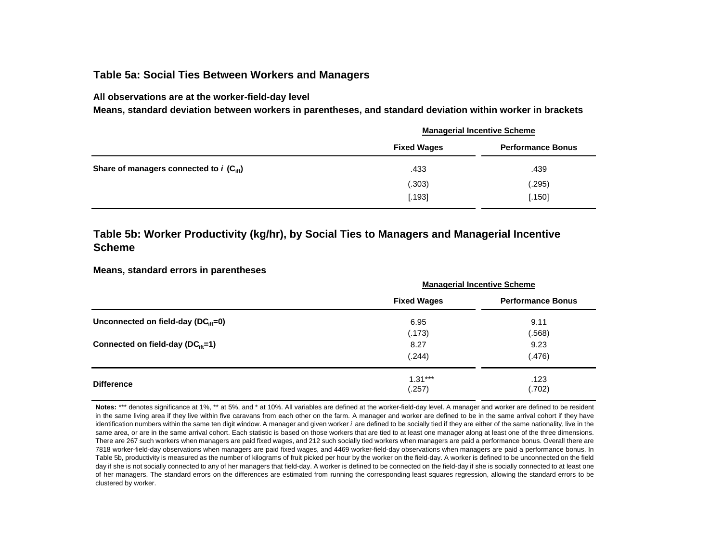### **Table 5a: Social Ties Between Workers and Managers**

**All observations are at the worker-field-day level**

**Means, standard deviation between workers in parentheses, and standard deviation within worker in brackets**

|                                                        | <b>Managerial Incentive Scheme</b> |                          |  |  |
|--------------------------------------------------------|------------------------------------|--------------------------|--|--|
|                                                        | <b>Fixed Wages</b>                 | <b>Performance Bonus</b> |  |  |
| Share of managers connected to $i$ (C <sub>ift</sub> ) | .433                               | .439                     |  |  |
|                                                        | (.303)                             | (.295)                   |  |  |
|                                                        | [.193]                             | [.150]                   |  |  |

# **Table 5b: Worker Productivity (kg/hr), by Social Ties to Managers and Managerial Incentive Scheme**

#### **Means, standard errors in parentheses**

| <b>Managerial Incentive Scheme</b> |                          |  |  |
|------------------------------------|--------------------------|--|--|
| <b>Fixed Wages</b>                 | <b>Performance Bonus</b> |  |  |
| 6.95                               | 9.11                     |  |  |
| (.173)                             | (.568)                   |  |  |
| 8.27                               | 9.23                     |  |  |
| (.244)                             | (.476)                   |  |  |
| $1.31***$<br>(.257)                | .123<br>(.702)           |  |  |
|                                    |                          |  |  |

**Notes:** \*\*\* denotes significance at 1%, \*\* at 5%, and \* at 10%. All variables are defined at the worker-field-day level. A manager and worker are defined to be resident in the same living area if they live within five caravans from each other on the farm. A manager and worker are defined to be in the same arrival cohort if they have identification numbers within the same ten digit window. A manager and given worker *i* are defined to be socially tied if they are either of the same nationality, live in the same area, or are in the same arrival cohort. Each statistic is based on those workers that are tied to at least one manager along at least one of the three dimensions. There are 267 such workers when managers are paid fixed wages, and 212 such socially tied workers when managers are paid <sup>a</sup> performance bonus. Overall there are 7818 worker-field-day observations when managers are paid fixed wages, and 4469 worker-field-day observations when managers are paid <sup>a</sup> performance bonus. In Table 5b, productivity is measured as the number of kilograms of fruit picked per hour by the worker on the field-day. A worker is defined to be unconnected on the field day if she is not socially connected to any of her managers that field-day. A worker is defined to be connected on the field-day if she is socially connected to at least one of her managers. The standard errors on the differences are estimated from running the corresponding least squares regression, allowing the standard errors to be clustered by worker.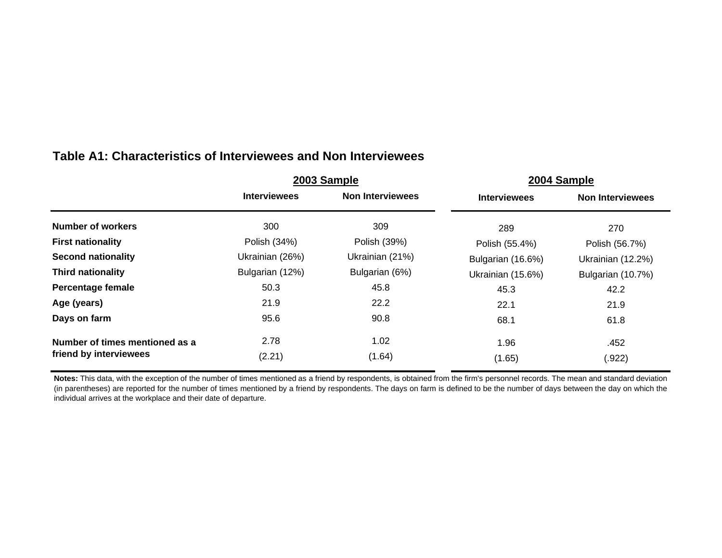# **Table A1: Characteristics of Interviewees and Non Interviewees**

|                                |                     | 2003 Sample             |                     | 2004 Sample             |
|--------------------------------|---------------------|-------------------------|---------------------|-------------------------|
|                                | <b>Interviewees</b> | <b>Non Interviewees</b> | <b>Interviewees</b> | <b>Non Interviewees</b> |
| <b>Number of workers</b>       | 300                 | 309                     | 289                 | 270                     |
| <b>First nationality</b>       | Polish (34%)        | Polish (39%)            | Polish (55.4%)      | Polish (56.7%)          |
| <b>Second nationality</b>      | Ukrainian (26%)     | Ukrainian (21%)         | Bulgarian (16.6%)   | Ukrainian (12.2%)       |
| <b>Third nationality</b>       | Bulgarian (12%)     | Bulgarian (6%)          | Ukrainian (15.6%)   | Bulgarian (10.7%)       |
| <b>Percentage female</b>       | 50.3                | 45.8                    | 45.3                | 42.2                    |
| Age (years)                    | 21.9                | 22.2                    | 22.1                | 21.9                    |
| Days on farm                   | 95.6                | 90.8                    | 68.1                | 61.8                    |
| Number of times mentioned as a | 2.78                | 1.02                    | 1.96                | .452                    |
| friend by interviewees         | (2.21)              | (1.64)                  | (1.65)              | (.922)                  |

**Notes:** This data, with the exception of the number of times mentioned as <sup>a</sup> friend by respondents, is obtained from the firm's personnel records. The mean and standard deviation (in parentheses) are reported for the number of times mentioned by <sup>a</sup> friend by respondents. The days on farm is defined to be the number of days between the day on which the individual arrives at the workplace and their date of departure.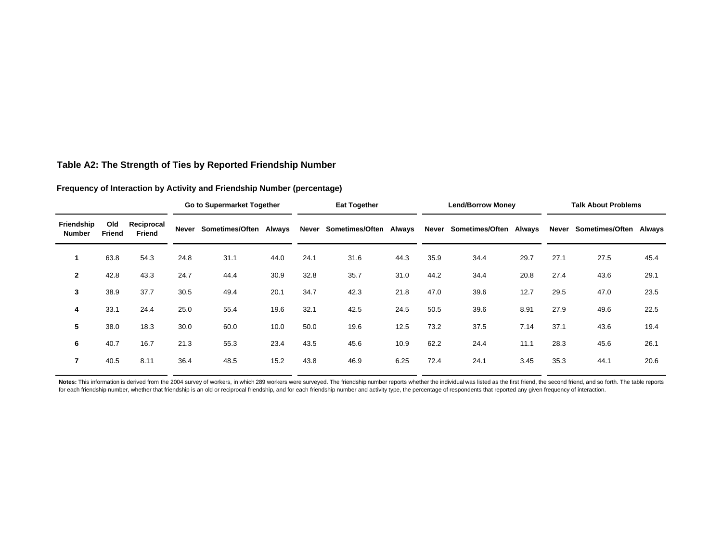### **Table A2: The Strength of Ties by Reported Friendship Number**

| Frequency of Interaction by Activity and Friendship Number (percentage) |
|-------------------------------------------------------------------------|
|-------------------------------------------------------------------------|

|                             |               |                      |      | Go to Supermarket Together   |      | <b>Eat Together</b> |                              | <b>Lend/Borrow Money</b> |      | <b>Talk About Problems</b>   |      |      |                              |      |
|-----------------------------|---------------|----------------------|------|------------------------------|------|---------------------|------------------------------|--------------------------|------|------------------------------|------|------|------------------------------|------|
| Friendship<br><b>Number</b> | Old<br>Friend | Reciprocal<br>Friend |      | Never Sometimes/Often Always |      |                     | Never Sometimes/Often Always |                          |      | Never Sometimes/Often Always |      |      | Never Sometimes/Often Always |      |
| 1                           | 63.8          | 54.3                 | 24.8 | 31.1                         | 44.0 | 24.1                | 31.6                         | 44.3                     | 35.9 | 34.4                         | 29.7 | 27.1 | 27.5                         | 45.4 |
| $\mathbf{2}$                | 42.8          | 43.3                 | 24.7 | 44.4                         | 30.9 | 32.8                | 35.7                         | 31.0                     | 44.2 | 34.4                         | 20.8 | 27.4 | 43.6                         | 29.1 |
| 3                           | 38.9          | 37.7                 | 30.5 | 49.4                         | 20.1 | 34.7                | 42.3                         | 21.8                     | 47.0 | 39.6                         | 12.7 | 29.5 | 47.0                         | 23.5 |
| 4                           | 33.1          | 24.4                 | 25.0 | 55.4                         | 19.6 | 32.1                | 42.5                         | 24.5                     | 50.5 | 39.6                         | 8.91 | 27.9 | 49.6                         | 22.5 |
| 5                           | 38.0          | 18.3                 | 30.0 | 60.0                         | 10.0 | 50.0                | 19.6                         | 12.5                     | 73.2 | 37.5                         | 7.14 | 37.1 | 43.6                         | 19.4 |
| 6                           | 40.7          | 16.7                 | 21.3 | 55.3                         | 23.4 | 43.5                | 45.6                         | 10.9                     | 62.2 | 24.4                         | 11.1 | 28.3 | 45.6                         | 26.1 |
| $\overline{7}$              | 40.5          | 8.11                 | 36.4 | 48.5                         | 15.2 | 43.8                | 46.9                         | 6.25                     | 72.4 | 24.1                         | 3.45 | 35.3 | 44.1                         | 20.6 |

Notes: This information is derived from the 2004 survey of workers, in which 289 workers were surveyed. The friendship number reports whether the individual was listed as the first friend, the second friend, and so forth. for each friendship number, whether that friendship is an old or reciprocal friendship, and for each friendship number and activity type, the percentage of respondents that reported any given frequency of interaction.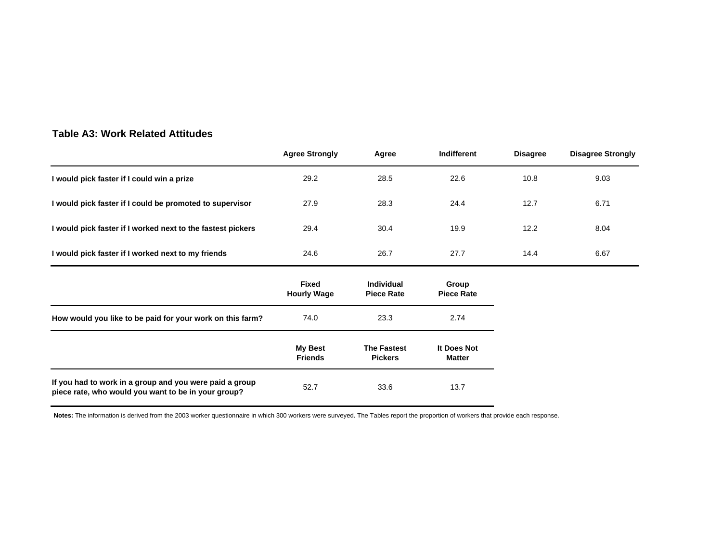#### **Table A3: Work Related Attitudes**

|                                                             | <b>Agree Strongly</b> | Agree | Indifferent | <b>Disagree</b> | <b>Disagree Strongly</b> |
|-------------------------------------------------------------|-----------------------|-------|-------------|-----------------|--------------------------|
| I would pick faster if I could win a prize                  | 29.2                  | 28.5  | 22.6        | 10.8            | 9.03                     |
| I would pick faster if I could be promoted to supervisor    | 27.9                  | 28.3  | 24.4        | 12.7            | 6.71                     |
| I would pick faster if I worked next to the fastest pickers | 29.4                  | 30.4  | 19.9        | 12.2            | 8.04                     |
| I would pick faster if I worked next to my friends          | 24.6                  | 26.7  | 27.7        | 14.4            | 6.67                     |
|                                                             |                       |       |             |                 |                          |

|                                                                                                                | Fixed              | Individual         | Group             |
|----------------------------------------------------------------------------------------------------------------|--------------------|--------------------|-------------------|
|                                                                                                                | <b>Hourly Wage</b> | <b>Piece Rate</b>  | <b>Piece Rate</b> |
| How would you like to be paid for your work on this farm?                                                      | 74.0               | 23.3               | 2.74              |
|                                                                                                                | <b>My Best</b>     | <b>The Fastest</b> | It Does Not       |
|                                                                                                                | <b>Friends</b>     | <b>Pickers</b>     | <b>Matter</b>     |
| If you had to work in a group and you were paid a group<br>piece rate, who would you want to be in your group? | 52.7               | 33.6               | 13.7              |

**Notes:** The information is derived from the 2003 worker questionnaire in which 300 workers were surveyed. The Tables report the proportion of workers that provide each response.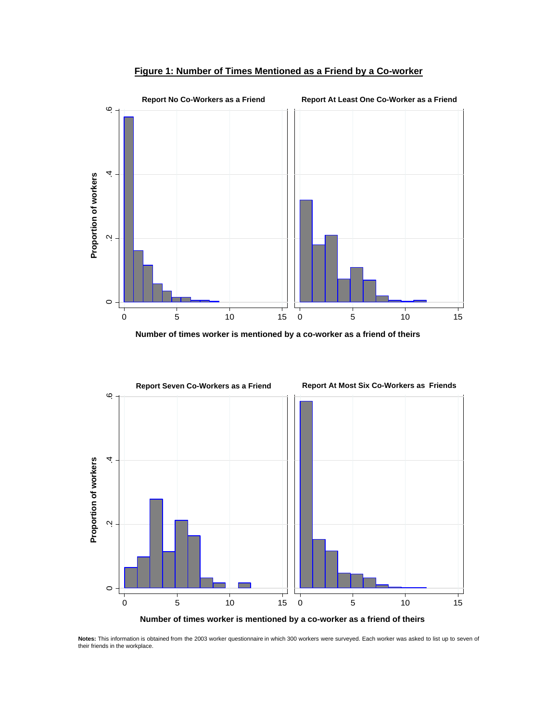



Number of times worker is mentioned by a co-worker as a friend of theirs



**Notes:** This information is obtained from the 2003 worker questionnaire in which 300 workers were surveyed. Each worker was asked to list up to seven of their friends in the workplace.